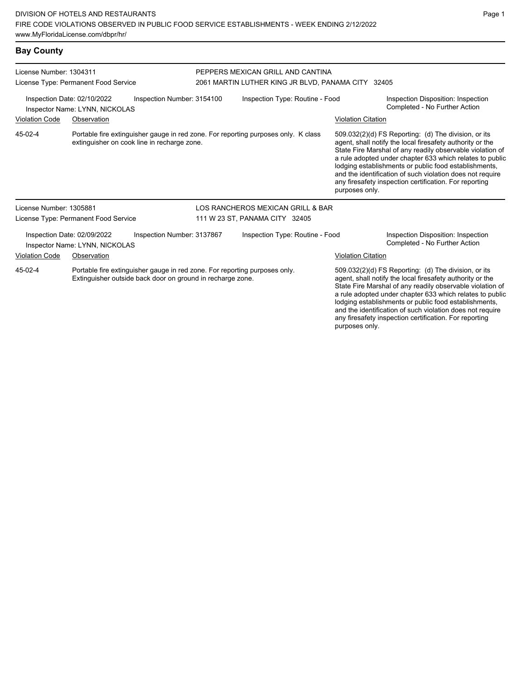# **Bay County**

| License Number: 1304311 | License Type: Permanent Food Service                          |                                                                                                                                          | PEPPERS MEXICAN GRILL AND CANTINA<br>2061 MARTIN LUTHER KING JR BLVD, PANAMA CITY 32405 |                           |                                                                                                                                                                                                                                                                                                                                                                                                                            |  |  |
|-------------------------|---------------------------------------------------------------|------------------------------------------------------------------------------------------------------------------------------------------|-----------------------------------------------------------------------------------------|---------------------------|----------------------------------------------------------------------------------------------------------------------------------------------------------------------------------------------------------------------------------------------------------------------------------------------------------------------------------------------------------------------------------------------------------------------------|--|--|
|                         | Inspection Date: 02/10/2022<br>Inspector Name: LYNN, NICKOLAS | Inspection Number: 3154100                                                                                                               | Inspection Type: Routine - Food                                                         |                           | Inspection Disposition: Inspection<br>Completed - No Further Action                                                                                                                                                                                                                                                                                                                                                        |  |  |
| <b>Violation Code</b>   | Observation                                                   |                                                                                                                                          |                                                                                         | <b>Violation Citation</b> |                                                                                                                                                                                                                                                                                                                                                                                                                            |  |  |
| 45-02-4                 |                                                               | Portable fire extinguisher gauge in red zone. For reporting purposes only. K class<br>extinguisher on cook line in recharge zone.        |                                                                                         | purposes only.            | 509.032(2)(d) FS Reporting: (d) The division, or its<br>agent, shall notify the local firesafety authority or the<br>State Fire Marshal of any readily observable violation of<br>a rule adopted under chapter 633 which relates to public<br>lodging establishments or public food establishments,<br>and the identification of such violation does not require<br>any firesafety inspection certification. For reporting |  |  |
| License Number: 1305881 |                                                               |                                                                                                                                          | LOS RANCHEROS MEXICAN GRILL & BAR                                                       |                           |                                                                                                                                                                                                                                                                                                                                                                                                                            |  |  |
|                         | License Type: Permanent Food Service                          |                                                                                                                                          | 111 W 23 ST, PANAMA CITY 32405                                                          |                           |                                                                                                                                                                                                                                                                                                                                                                                                                            |  |  |
|                         | Inspection Date: 02/09/2022<br>Inspector Name: LYNN, NICKOLAS | Inspection Number: 3137867                                                                                                               | Inspection Type: Routine - Food                                                         |                           | Inspection Disposition: Inspection<br>Completed - No Further Action                                                                                                                                                                                                                                                                                                                                                        |  |  |
| <b>Violation Code</b>   | Observation                                                   |                                                                                                                                          |                                                                                         | <b>Violation Citation</b> |                                                                                                                                                                                                                                                                                                                                                                                                                            |  |  |
| 45-02-4                 |                                                               | Portable fire extinguisher gauge in red zone. For reporting purposes only.<br>Extinguisher outside back door on ground in recharge zone. |                                                                                         |                           | 509.032(2)(d) FS Reporting: (d) The division, or its<br>agent, shall notify the local firesafety authority or the<br>State Fire Marshal of any readily observable violation of<br>a rule adopted under chapter 633 which relates to public<br>lodging establishments or public food establishments,                                                                                                                        |  |  |

Page 1

and the identification of such violation does not require any firesafety inspection certification. For reporting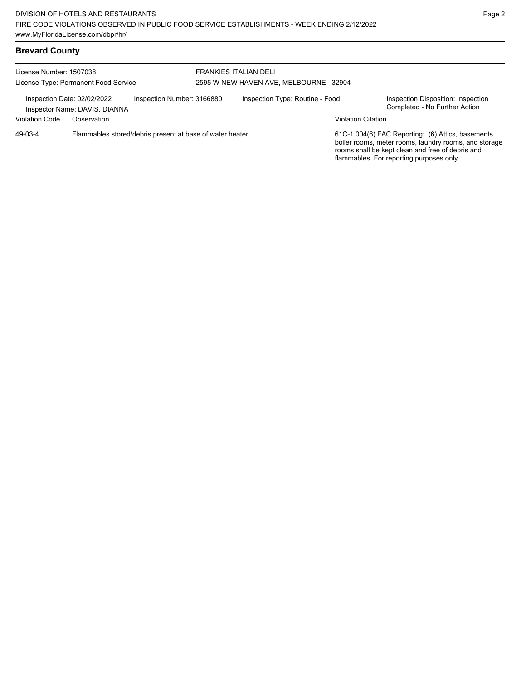License Number: 1507038 License Type: Permanent Food Service FRANKIES ITALIAN DELI 2595 W NEW HAVEN AVE, MELBOURNE 32904 Inspection Date: 02/02/2022 Inspection Number: 3166880 Inspection Type: Routine - Food Inspection Disposition: Inspection<br>Inspector Name: DAVIS DIANNA Inspector Name: DAVIS, DIANNA Violation Code Observation Violation Citation Flammables stored/debris present at base of water heater. 61C-1.004(6) FAC Reporting: (6) Attics, basements, boiler rooms, meter rooms, laundry rooms, and storage rooms shall be kept clean and free of debris and flammables. For reporting purposes only. 49-03-4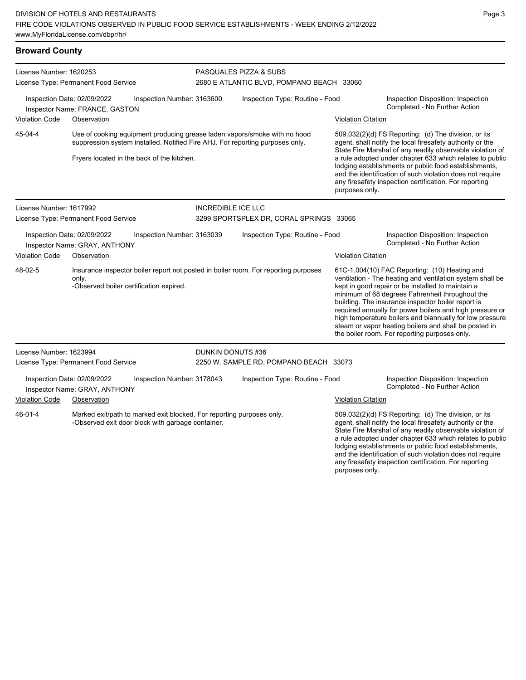# **Broward County**

| License Number: 1620253 |                                                                                                                            |                            | PASQUALES PIZZA & SUBS                                                                                                                                     |                                                                                                                                       |                                                                                                                                                                                                                                                                                                                                                                                                                                                                                                            |  |  |  |
|-------------------------|----------------------------------------------------------------------------------------------------------------------------|----------------------------|------------------------------------------------------------------------------------------------------------------------------------------------------------|---------------------------------------------------------------------------------------------------------------------------------------|------------------------------------------------------------------------------------------------------------------------------------------------------------------------------------------------------------------------------------------------------------------------------------------------------------------------------------------------------------------------------------------------------------------------------------------------------------------------------------------------------------|--|--|--|
|                         | License Type: Permanent Food Service                                                                                       |                            | 2680 E ATLANTIC BLVD, POMPANO BEACH 33060                                                                                                                  |                                                                                                                                       |                                                                                                                                                                                                                                                                                                                                                                                                                                                                                                            |  |  |  |
|                         | Inspection Date: 02/09/2022<br>Inspector Name: FRANCE, GASTON                                                              | Inspection Number: 3163600 | Inspection Type: Routine - Food                                                                                                                            |                                                                                                                                       | Inspection Disposition: Inspection<br>Completed - No Further Action                                                                                                                                                                                                                                                                                                                                                                                                                                        |  |  |  |
| <b>Violation Code</b>   | Observation                                                                                                                |                            |                                                                                                                                                            | <b>Violation Citation</b>                                                                                                             |                                                                                                                                                                                                                                                                                                                                                                                                                                                                                                            |  |  |  |
| 45-04-4                 | Fryers located in the back of the kitchen.                                                                                 |                            | Use of cooking equipment producing grease laden vapors/smoke with no hood<br>suppression system installed. Notified Fire AHJ. For reporting purposes only. |                                                                                                                                       | 509.032(2)(d) FS Reporting: (d) The division, or its<br>agent, shall notify the local firesafety authority or the<br>State Fire Marshal of any readily observable violation of<br>a rule adopted under chapter 633 which relates to public<br>lodging establishments or public food establishments,                                                                                                                                                                                                        |  |  |  |
|                         |                                                                                                                            |                            |                                                                                                                                                            | and the identification of such violation does not require<br>any firesafety inspection certification. For reporting<br>purposes only. |                                                                                                                                                                                                                                                                                                                                                                                                                                                                                                            |  |  |  |
| License Number: 1617992 |                                                                                                                            | <b>INCREDIBLE ICE LLC</b>  |                                                                                                                                                            |                                                                                                                                       |                                                                                                                                                                                                                                                                                                                                                                                                                                                                                                            |  |  |  |
|                         | License Type: Permanent Food Service                                                                                       |                            | 3299 SPORTSPLEX DR, CORAL SPRINGS 33065                                                                                                                    |                                                                                                                                       |                                                                                                                                                                                                                                                                                                                                                                                                                                                                                                            |  |  |  |
|                         | Inspection Date: 02/09/2022<br>Inspector Name: GRAY, ANTHONY                                                               | Inspection Number: 3163039 | Inspection Type: Routine - Food                                                                                                                            |                                                                                                                                       | Inspection Disposition: Inspection<br>Completed - No Further Action                                                                                                                                                                                                                                                                                                                                                                                                                                        |  |  |  |
| <b>Violation Code</b>   | Observation                                                                                                                |                            |                                                                                                                                                            | <b>Violation Citation</b>                                                                                                             |                                                                                                                                                                                                                                                                                                                                                                                                                                                                                                            |  |  |  |
| 48-02-5                 | only.<br>-Observed boiler certification expired.                                                                           |                            | Insurance inspector boiler report not posted in boiler room. For reporting purposes                                                                        |                                                                                                                                       | 61C-1.004(10) FAC Reporting: (10) Heating and<br>ventilation - The heating and ventilation system shall be<br>kept in good repair or be installed to maintain a<br>minimum of 68 degrees Fahrenheit throughout the<br>building. The insurance inspector boiler report is<br>required annually for power boilers and high pressure or<br>high temperature boilers and biannually for low pressure<br>steam or vapor heating boilers and shall be posted in<br>the boiler room. For reporting purposes only. |  |  |  |
| License Number: 1623994 |                                                                                                                            | DUNKIN DONUTS #36          |                                                                                                                                                            |                                                                                                                                       |                                                                                                                                                                                                                                                                                                                                                                                                                                                                                                            |  |  |  |
|                         | License Type: Permanent Food Service                                                                                       |                            | 2250 W. SAMPLE RD, POMPANO BEACH 33073                                                                                                                     |                                                                                                                                       |                                                                                                                                                                                                                                                                                                                                                                                                                                                                                                            |  |  |  |
|                         | Inspection Date: 02/09/2022<br>Inspector Name: GRAY, ANTHONY                                                               | Inspection Number: 3178043 | Inspection Type: Routine - Food                                                                                                                            |                                                                                                                                       | Inspection Disposition: Inspection<br>Completed - No Further Action                                                                                                                                                                                                                                                                                                                                                                                                                                        |  |  |  |
| <b>Violation Code</b>   | Observation                                                                                                                |                            |                                                                                                                                                            | Violation Citation                                                                                                                    |                                                                                                                                                                                                                                                                                                                                                                                                                                                                                                            |  |  |  |
| 46-01-4                 | Marked exit/path to marked exit blocked. For reporting purposes only.<br>-Observed exit door block with garbage container. |                            |                                                                                                                                                            | purposes only.                                                                                                                        | 509.032(2)(d) FS Reporting: (d) The division, or its<br>agent, shall notify the local firesafety authority or the<br>State Fire Marshal of any readily observable violation of<br>a rule adopted under chapter 633 which relates to public<br>lodging establishments or public food establishments,<br>and the identification of such violation does not require<br>any firesafety inspection certification. For reporting                                                                                 |  |  |  |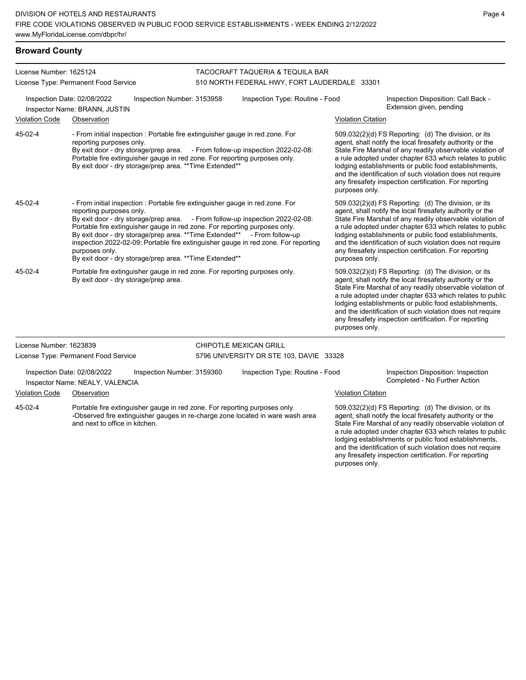### **Broward County**

| License Number: 1625124<br>License Type: Permanent Food Service                                                                                                                                                                                                                                                                                                                                                               |                                                                                                                     |                                                                                                                                                                                                                         | TACOCRAFT TAQUERIA & TEQUILA BAR<br>510 NORTH FEDERAL HWY, FORT LAUDERDALE 33301                       |                                                                               |  |                                                                                                                                                                                                                                                                                                                                                                                                                                              |                                                                                                                                                                                                                                                                                                                                                                                                                            |
|-------------------------------------------------------------------------------------------------------------------------------------------------------------------------------------------------------------------------------------------------------------------------------------------------------------------------------------------------------------------------------------------------------------------------------|---------------------------------------------------------------------------------------------------------------------|-------------------------------------------------------------------------------------------------------------------------------------------------------------------------------------------------------------------------|--------------------------------------------------------------------------------------------------------|-------------------------------------------------------------------------------|--|----------------------------------------------------------------------------------------------------------------------------------------------------------------------------------------------------------------------------------------------------------------------------------------------------------------------------------------------------------------------------------------------------------------------------------------------|----------------------------------------------------------------------------------------------------------------------------------------------------------------------------------------------------------------------------------------------------------------------------------------------------------------------------------------------------------------------------------------------------------------------------|
| Inspection Number: 3153958<br>Inspection Date: 02/08/2022<br>Inspector Name: BRANN, JUSTIN                                                                                                                                                                                                                                                                                                                                    |                                                                                                                     |                                                                                                                                                                                                                         |                                                                                                        | Inspection Type: Routine - Food                                               |  |                                                                                                                                                                                                                                                                                                                                                                                                                                              | Inspection Disposition: Call Back -<br>Extension given, pending                                                                                                                                                                                                                                                                                                                                                            |
| <b>Violation Code</b>                                                                                                                                                                                                                                                                                                                                                                                                         | Observation                                                                                                         |                                                                                                                                                                                                                         |                                                                                                        |                                                                               |  | <b>Violation Citation</b>                                                                                                                                                                                                                                                                                                                                                                                                                    |                                                                                                                                                                                                                                                                                                                                                                                                                            |
| 45-02-4                                                                                                                                                                                                                                                                                                                                                                                                                       | reporting purposes only.                                                                                            | - From initial inspection : Portable fire extinguisher gauge in red zone. For<br>Portable fire extinguisher gauge in red zone. For reporting purposes only.<br>By exit door - dry storage/prep area. ** Time Extended** |                                                                                                        | By exit door - dry storage/prep area. - From follow-up inspection 2022-02-08: |  | purposes only.                                                                                                                                                                                                                                                                                                                                                                                                                               | 509.032(2)(d) FS Reporting: (d) The division, or its<br>agent, shall notify the local firesafety authority or the<br>State Fire Marshal of any readily observable violation of<br>a rule adopted under chapter 633 which relates to public<br>lodging establishments or public food establishments,<br>and the identification of such violation does not require<br>any firesafety inspection certification. For reporting |
| - From initial inspection : Portable fire extinguisher gauge in red zone. For<br>45-02-4<br>reporting purposes only.<br>By exit door - dry storage/prep area. - From follow-up inspection 2022-02-08:<br>Portable fire extinguisher gauge in red zone. For reporting purposes only.<br>By exit door - dry storage/prep area. ** Time Extended**<br>purposes only.<br>By exit door - dry storage/prep area. ** Time Extended** |                                                                                                                     |                                                                                                                                                                                                                         | - From follow-up<br>inspection 2022-02-09: Portable fire extinguisher gauge in red zone. For reporting |                                                                               |  | 509.032(2)(d) FS Reporting: (d) The division, or its<br>agent, shall notify the local firesafety authority or the<br>State Fire Marshal of any readily observable violation of<br>a rule adopted under chapter 633 which relates to public<br>lodging establishments or public food establishments,<br>and the identification of such violation does not require<br>any firesafety inspection certification. For reporting<br>purposes only. |                                                                                                                                                                                                                                                                                                                                                                                                                            |
| 45-02-4                                                                                                                                                                                                                                                                                                                                                                                                                       | Portable fire extinguisher gauge in red zone. For reporting purposes only.<br>By exit door - dry storage/prep area. |                                                                                                                                                                                                                         |                                                                                                        |                                                                               |  | purposes only.                                                                                                                                                                                                                                                                                                                                                                                                                               | 509.032(2)(d) FS Reporting: (d) The division, or its<br>agent, shall notify the local firesafety authority or the<br>State Fire Marshal of any readily observable violation of<br>a rule adopted under chapter 633 which relates to public<br>lodging establishments or public food establishments,<br>and the identification of such violation does not require<br>any firesafety inspection certification. For reporting |
| License Number: 1623839                                                                                                                                                                                                                                                                                                                                                                                                       |                                                                                                                     |                                                                                                                                                                                                                         |                                                                                                        | <b>CHIPOTLE MEXICAN GRILL</b>                                                 |  |                                                                                                                                                                                                                                                                                                                                                                                                                                              |                                                                                                                                                                                                                                                                                                                                                                                                                            |
|                                                                                                                                                                                                                                                                                                                                                                                                                               | License Type: Permanent Food Service                                                                                |                                                                                                                                                                                                                         |                                                                                                        | 5796 UNIVERSITY DR STE 103, DAVIE 33328                                       |  |                                                                                                                                                                                                                                                                                                                                                                                                                                              |                                                                                                                                                                                                                                                                                                                                                                                                                            |
|                                                                                                                                                                                                                                                                                                                                                                                                                               | Inspection Date: 02/08/2022<br>Inspector Name: NEALY, VALENCIA                                                      | Inspection Number: 3159360                                                                                                                                                                                              |                                                                                                        | Inspection Type: Routine - Food                                               |  |                                                                                                                                                                                                                                                                                                                                                                                                                                              | Inspection Disposition: Inspection<br>Completed - No Further Action                                                                                                                                                                                                                                                                                                                                                        |
| <b>Violation Code</b>                                                                                                                                                                                                                                                                                                                                                                                                         | Observation                                                                                                         |                                                                                                                                                                                                                         |                                                                                                        |                                                                               |  | <b>Violation Citation</b>                                                                                                                                                                                                                                                                                                                                                                                                                    |                                                                                                                                                                                                                                                                                                                                                                                                                            |
| 45-02-4<br>Portable fire extinguisher gauge in red zone. For reporting purposes only.<br>-Observed fire extinguisher gauges in re-charge zone located in ware wash area<br>and next to office in kitchen.                                                                                                                                                                                                                     |                                                                                                                     |                                                                                                                                                                                                                         |                                                                                                        |                                                                               |  |                                                                                                                                                                                                                                                                                                                                                                                                                                              | 509.032(2)(d) FS Reporting: (d) The division, or its<br>agent, shall notify the local firesafety authority or the<br>State Fire Marshal of any readily observable violation of<br>a rule adopted under chapter 633 which relates to public                                                                                                                                                                                 |

lodging establishments or public food establishments, and the identification of such violation does not require any firesafety inspection certification. For reporting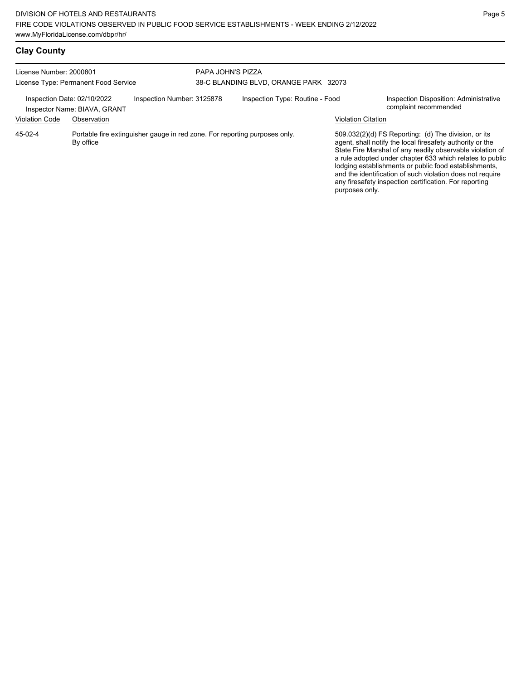lodging establishments or public food establishments, and the identification of such violation does not require any firesafety inspection certification. For reporting

| <b>Clay County</b>                                                            |                                                                                         |                            |                                 |                           |                                                                                                                                                                                                                                            |
|-------------------------------------------------------------------------------|-----------------------------------------------------------------------------------------|----------------------------|---------------------------------|---------------------------|--------------------------------------------------------------------------------------------------------------------------------------------------------------------------------------------------------------------------------------------|
| License Number: 2000801                                                       |                                                                                         | PAPA JOHN'S PIZZA          |                                 |                           |                                                                                                                                                                                                                                            |
| 38-C BLANDING BLVD, ORANGE PARK 32073<br>License Type: Permanent Food Service |                                                                                         |                            |                                 |                           |                                                                                                                                                                                                                                            |
|                                                                               | Inspection Date: 02/10/2022<br>Inspector Name: BIAVA, GRANT                             | Inspection Number: 3125878 | Inspection Type: Routine - Food |                           | Inspection Disposition: Administrative<br>complaint recommended                                                                                                                                                                            |
| <b>Violation Code</b>                                                         | Observation                                                                             |                            |                                 | <b>Violation Citation</b> |                                                                                                                                                                                                                                            |
| 45-02-4                                                                       | Portable fire extinguisher gauge in red zone. For reporting purposes only.<br>By office |                            |                                 |                           | 509.032(2)(d) FS Reporting: (d) The division, or its<br>agent, shall notify the local firesafety authority or the<br>State Fire Marshal of any readily observable violation of<br>a rule adopted under chapter 633 which relates to public |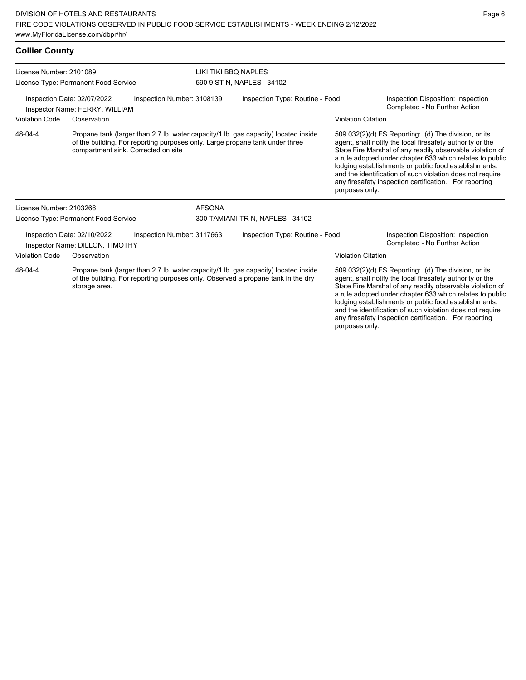# **Collier County**

| License Number: 2101089                                                                                                                                                                             |                                                                |                                                                              | LIKI TIKI BBO NAPLES            |                                                                                     |                           |                                                                                                                                                                                                                                                                                                                                                                                                                            |  |  |
|-----------------------------------------------------------------------------------------------------------------------------------------------------------------------------------------------------|----------------------------------------------------------------|------------------------------------------------------------------------------|---------------------------------|-------------------------------------------------------------------------------------|---------------------------|----------------------------------------------------------------------------------------------------------------------------------------------------------------------------------------------------------------------------------------------------------------------------------------------------------------------------------------------------------------------------------------------------------------------------|--|--|
| License Type: Permanent Food Service                                                                                                                                                                |                                                                |                                                                              |                                 | 590 9 ST N, NAPLES 34102                                                            |                           |                                                                                                                                                                                                                                                                                                                                                                                                                            |  |  |
| Inspection Date: 02/07/2022<br>Inspection Number: 3108139<br>Inspector Name: FERRY, WILLIAM                                                                                                         |                                                                |                                                                              | Inspection Type: Routine - Food |                                                                                     |                           | Inspection Disposition: Inspection<br>Completed - No Further Action                                                                                                                                                                                                                                                                                                                                                        |  |  |
| <b>Violation Code</b>                                                                                                                                                                               | Observation                                                    |                                                                              |                                 |                                                                                     | <b>Violation Citation</b> |                                                                                                                                                                                                                                                                                                                                                                                                                            |  |  |
| 48-04-4                                                                                                                                                                                             | compartment sink. Corrected on site                            | of the building. For reporting purposes only. Large propane tank under three |                                 | Propane tank (larger than 2.7 lb. water capacity/1 lb. gas capacity) located inside | purposes only.            | 509.032(2)(d) FS Reporting: (d) The division, or its<br>agent, shall notify the local firesafety authority or the<br>State Fire Marshal of any readily observable violation of<br>a rule adopted under chapter 633 which relates to public<br>lodging establishments or public food establishments,<br>and the identification of such violation does not require<br>any firesafety inspection certification. For reporting |  |  |
| License Number: 2103266                                                                                                                                                                             |                                                                |                                                                              | <b>AFSONA</b>                   |                                                                                     |                           |                                                                                                                                                                                                                                                                                                                                                                                                                            |  |  |
|                                                                                                                                                                                                     | License Type: Permanent Food Service                           |                                                                              |                                 | 300 TAMIAMI TR N, NAPLES 34102                                                      |                           |                                                                                                                                                                                                                                                                                                                                                                                                                            |  |  |
|                                                                                                                                                                                                     | Inspection Date: 02/10/2022<br>Inspector Name: DILLON, TIMOTHY | Inspection Number: 3117663                                                   |                                 | Inspection Type: Routine - Food                                                     |                           | Inspection Disposition: Inspection<br>Completed - No Further Action                                                                                                                                                                                                                                                                                                                                                        |  |  |
| <b>Violation Code</b><br>Observation                                                                                                                                                                |                                                                |                                                                              |                                 |                                                                                     | <b>Violation Citation</b> |                                                                                                                                                                                                                                                                                                                                                                                                                            |  |  |
| 48-04-4<br>Propane tank (larger than 2.7 lb. water capacity/1 lb. gas capacity) located inside<br>of the building. For reporting purposes only. Observed a propane tank in the dry<br>storage area. |                                                                |                                                                              |                                 |                                                                                     |                           | 509.032(2)(d) FS Reporting: (d) The division, or its<br>agent, shall notify the local firesafety authority or the<br>State Fire Marshal of any readily observable violation of<br>a rule adopted under chapter 633 which relates to public<br>lodging establishments or public food establishments,<br>and the identification of such violation does not require                                                           |  |  |

any firesafety inspection certification. For reporting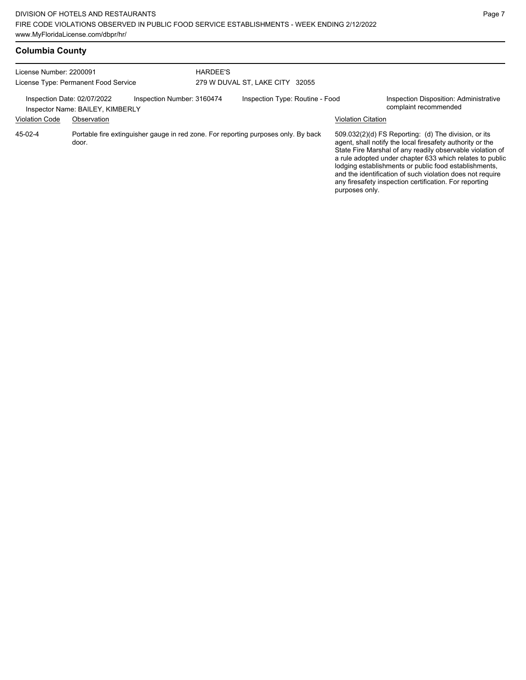| License Number: 2200091              |                                  |                                                                                    | <b>HARDEE'S</b> |                                 |                           |                                                                                                                                                                                                                                                                                                                                                                                                                              |
|--------------------------------------|----------------------------------|------------------------------------------------------------------------------------|-----------------|---------------------------------|---------------------------|------------------------------------------------------------------------------------------------------------------------------------------------------------------------------------------------------------------------------------------------------------------------------------------------------------------------------------------------------------------------------------------------------------------------------|
| License Type: Permanent Food Service |                                  |                                                                                    |                 | 279 W DUVAL ST, LAKE CITY 32055 |                           |                                                                                                                                                                                                                                                                                                                                                                                                                              |
| Inspection Date: 02/07/2022          | Inspector Name: BAILEY, KIMBERLY | Inspection Number: 3160474                                                         |                 | Inspection Type: Routine - Food |                           | Inspection Disposition: Administrative<br>complaint recommended                                                                                                                                                                                                                                                                                                                                                              |
| <b>Violation Code</b>                | Observation                      |                                                                                    |                 |                                 | <b>Violation Citation</b> |                                                                                                                                                                                                                                                                                                                                                                                                                              |
| 45-02-4                              | door.                            | Portable fire extinguisher gauge in red zone. For reporting purposes only. By back |                 |                                 | purposes only.            | $509.032(2)(d)$ FS Reporting: (d) The division, or its<br>agent, shall notify the local firesafety authority or the<br>State Fire Marshal of any readily observable violation of<br>a rule adopted under chapter 633 which relates to public<br>lodging establishments or public food establishments,<br>and the identification of such violation does not require<br>any firesafety inspection certification. For reporting |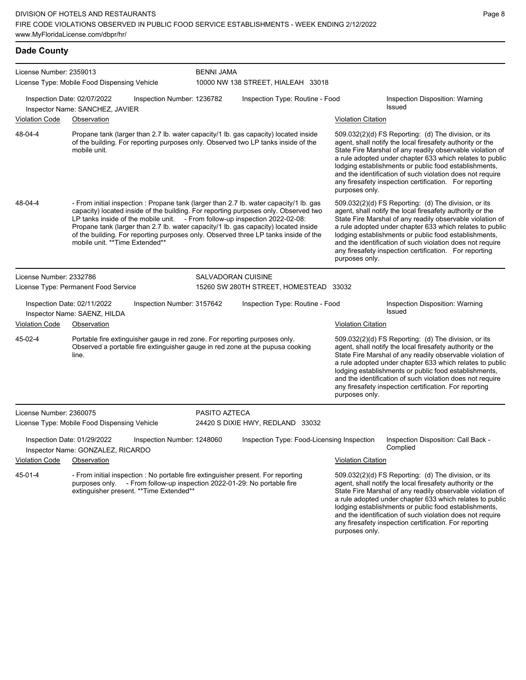# **Dade County**

| License Number: 2359013 |                                                                                                                                                                                                                                                                                                                                                                                                                                                                              |                   |                                            |                           |                                                                                                                                                                                                                                                                                                                                                                                                                              |
|-------------------------|------------------------------------------------------------------------------------------------------------------------------------------------------------------------------------------------------------------------------------------------------------------------------------------------------------------------------------------------------------------------------------------------------------------------------------------------------------------------------|-------------------|--------------------------------------------|---------------------------|------------------------------------------------------------------------------------------------------------------------------------------------------------------------------------------------------------------------------------------------------------------------------------------------------------------------------------------------------------------------------------------------------------------------------|
|                         | License Type: Mobile Food Dispensing Vehicle                                                                                                                                                                                                                                                                                                                                                                                                                                 | <b>BENNI JAMA</b> | 10000 NW 138 STREET, HIALEAH 33018         |                           |                                                                                                                                                                                                                                                                                                                                                                                                                              |
|                         | Inspection Date: 02/07/2022<br>Inspection Number: 1236782<br>Inspector Name: SANCHEZ, JAVIER                                                                                                                                                                                                                                                                                                                                                                                 |                   | Inspection Type: Routine - Food            |                           | Inspection Disposition: Warning<br><b>Issued</b>                                                                                                                                                                                                                                                                                                                                                                             |
| <b>Violation Code</b>   | Observation                                                                                                                                                                                                                                                                                                                                                                                                                                                                  |                   |                                            | <b>Violation Citation</b> |                                                                                                                                                                                                                                                                                                                                                                                                                              |
| 48-04-4                 | Propane tank (larger than 2.7 lb. water capacity/1 lb. gas capacity) located inside<br>of the building. For reporting purposes only. Observed two LP tanks inside of the<br>mobile unit.                                                                                                                                                                                                                                                                                     |                   |                                            | purposes only.            | $509.032(2)(d)$ FS Reporting: (d) The division, or its<br>agent, shall notify the local firesafety authority or the<br>State Fire Marshal of any readily observable violation of<br>a rule adopted under chapter 633 which relates to public<br>lodging establishments or public food establishments,<br>and the identification of such violation does not require<br>any firesafety inspection certification. For reporting |
| 48-04-4                 | - From initial inspection : Propane tank (larger than 2.7 lb. water capacity/1 lb. gas<br>capacity) located inside of the building. For reporting purposes only. Observed two<br>LP tanks inside of the mobile unit. - From follow-up inspection 2022-02-08:<br>Propane tank (larger than 2.7 lb. water capacity/1 lb. gas capacity) located inside<br>of the building. For reporting purposes only. Observed three LP tanks inside of the<br>mobile unit. **Time Extended** |                   |                                            | purposes only.            | 509.032(2)(d) FS Reporting: (d) The division, or its<br>agent, shall notify the local firesafety authority or the<br>State Fire Marshal of any readily observable violation of<br>a rule adopted under chapter 633 which relates to public<br>lodging establishments or public food establishments,<br>and the identification of such violation does not require<br>any firesafety inspection certification. For reporting   |
| License Number: 2332786 |                                                                                                                                                                                                                                                                                                                                                                                                                                                                              |                   | <b>SALVADORAN CUISINE</b>                  |                           |                                                                                                                                                                                                                                                                                                                                                                                                                              |
|                         | License Type: Permanent Food Service                                                                                                                                                                                                                                                                                                                                                                                                                                         |                   | 15260 SW 280TH STREET, HOMESTEAD 33032     |                           |                                                                                                                                                                                                                                                                                                                                                                                                                              |
|                         | Inspection Date: 02/11/2022<br>Inspection Number: 3157642<br>Inspector Name: SAENZ, HILDA                                                                                                                                                                                                                                                                                                                                                                                    |                   | Inspection Type: Routine - Food            |                           | Inspection Disposition: Warning<br><b>Issued</b>                                                                                                                                                                                                                                                                                                                                                                             |
| <b>Violation Code</b>   | Observation                                                                                                                                                                                                                                                                                                                                                                                                                                                                  |                   |                                            | Violation Citation        |                                                                                                                                                                                                                                                                                                                                                                                                                              |
| 45-02-4                 | Portable fire extinguisher gauge in red zone. For reporting purposes only.<br>Observed a portable fire extinguisher gauge in red zone at the pupusa cooking<br>line.                                                                                                                                                                                                                                                                                                         |                   |                                            | purposes only.            | 509.032(2)(d) FS Reporting: (d) The division, or its<br>agent, shall notify the local firesafety authority or the<br>State Fire Marshal of any readily observable violation of<br>a rule adopted under chapter 633 which relates to public<br>lodging establishments or public food establishments,<br>and the identification of such violation does not require<br>any firesafety inspection certification. For reporting   |
| License Number: 2360075 |                                                                                                                                                                                                                                                                                                                                                                                                                                                                              | PASITO AZTECA     |                                            |                           |                                                                                                                                                                                                                                                                                                                                                                                                                              |
|                         | License Type: Mobile Food Dispensing Vehicle                                                                                                                                                                                                                                                                                                                                                                                                                                 |                   | 24420 S DIXIE HWY, REDLAND 33032           |                           |                                                                                                                                                                                                                                                                                                                                                                                                                              |
|                         | Inspection Date: 01/29/2022<br>Inspection Number: 1248060<br>Inspector Name: GONZALEZ, RICARDO                                                                                                                                                                                                                                                                                                                                                                               |                   | Inspection Type: Food-Licensing Inspection |                           | Inspection Disposition: Call Back -<br>Complied                                                                                                                                                                                                                                                                                                                                                                              |
| <b>Violation Code</b>   | Observation                                                                                                                                                                                                                                                                                                                                                                                                                                                                  |                   |                                            | <b>Violation Citation</b> |                                                                                                                                                                                                                                                                                                                                                                                                                              |
| 45-01-4                 | - From initial inspection : No portable fire extinguisher present. For reporting<br>purposes only. - From follow-up inspection 2022-01-29: No portable fire<br>extinguisher present. ** Time Extended**                                                                                                                                                                                                                                                                      |                   |                                            | purposes only.            | 509.032(2)(d) FS Reporting: (d) The division, or its<br>agent, shall notify the local firesafety authority or the<br>State Fire Marshal of any readily observable violation of<br>a rule adopted under chapter 633 which relates to public<br>lodging establishments or public food establishments,<br>and the identification of such violation does not require<br>any firesafety inspection certification. For reporting   |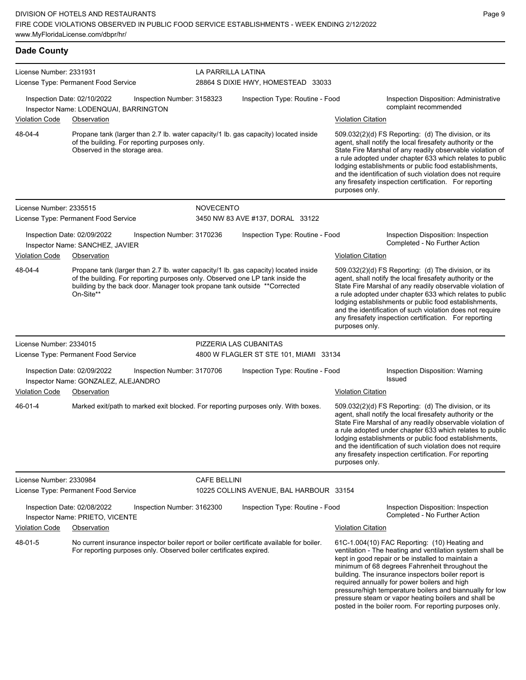| <b>Dade County</b>      |                                                                                                                                                                                                                                                               |                     |                                                          |                           |                                                                                                                                                                                                                                                                                                                                                                                                                            |  |  |  |
|-------------------------|---------------------------------------------------------------------------------------------------------------------------------------------------------------------------------------------------------------------------------------------------------------|---------------------|----------------------------------------------------------|---------------------------|----------------------------------------------------------------------------------------------------------------------------------------------------------------------------------------------------------------------------------------------------------------------------------------------------------------------------------------------------------------------------------------------------------------------------|--|--|--|
| License Number: 2331931 | License Type: Permanent Food Service                                                                                                                                                                                                                          |                     | LA PARRILLA LATINA<br>28864 S DIXIE HWY, HOMESTEAD 33033 |                           |                                                                                                                                                                                                                                                                                                                                                                                                                            |  |  |  |
|                         | Inspection Date: 02/10/2022<br>Inspection Number: 3158323<br>Inspector Name: LODENQUAI, BARRINGTON                                                                                                                                                            |                     | Inspection Type: Routine - Food                          |                           | Inspection Disposition: Administrative<br>complaint recommended                                                                                                                                                                                                                                                                                                                                                            |  |  |  |
| Violation Code          | Observation                                                                                                                                                                                                                                                   |                     |                                                          | <b>Violation Citation</b> |                                                                                                                                                                                                                                                                                                                                                                                                                            |  |  |  |
| 48-04-4                 | Propane tank (larger than 2.7 lb. water capacity/1 lb. gas capacity) located inside<br>of the building. For reporting purposes only.<br>Observed in the storage area.                                                                                         |                     | purposes only.                                           |                           | 509.032(2)(d) FS Reporting: (d) The division, or its<br>agent, shall notify the local firesafety authority or the<br>State Fire Marshal of any readily observable violation of<br>a rule adopted under chapter 633 which relates to public<br>lodging establishments or public food establishments,<br>and the identification of such violation does not require<br>any firesafety inspection certification. For reporting |  |  |  |
| License Number: 2335515 |                                                                                                                                                                                                                                                               | <b>NOVECENTO</b>    |                                                          |                           |                                                                                                                                                                                                                                                                                                                                                                                                                            |  |  |  |
|                         | License Type: Permanent Food Service                                                                                                                                                                                                                          |                     | 3450 NW 83 AVE #137, DORAL 33122                         |                           |                                                                                                                                                                                                                                                                                                                                                                                                                            |  |  |  |
|                         | Inspection Date: 02/09/2022<br>Inspection Number: 3170236<br>Inspector Name: SANCHEZ, JAVIER                                                                                                                                                                  |                     | Inspection Type: Routine - Food                          |                           | Inspection Disposition: Inspection<br>Completed - No Further Action                                                                                                                                                                                                                                                                                                                                                        |  |  |  |
| <b>Violation Code</b>   | Observation                                                                                                                                                                                                                                                   |                     |                                                          | <b>Violation Citation</b> |                                                                                                                                                                                                                                                                                                                                                                                                                            |  |  |  |
| 48-04-4                 | Propane tank (larger than 2.7 lb. water capacity/1 lb. gas capacity) located inside<br>of the building. For reporting purposes only. Observed one LP tank inside the<br>building by the back door. Manager took propane tank outside **Corrected<br>On-Site** |                     |                                                          | purposes only.            | 509.032(2)(d) FS Reporting: (d) The division, or its<br>agent, shall notify the local firesafety authority or the<br>State Fire Marshal of any readily observable violation of<br>a rule adopted under chapter 633 which relates to public<br>lodging establishments or public food establishments,<br>and the identification of such violation does not require<br>any firesafety inspection certification. For reporting |  |  |  |
| License Number: 2334015 |                                                                                                                                                                                                                                                               |                     | PIZZERIA LAS CUBANITAS                                   |                           |                                                                                                                                                                                                                                                                                                                                                                                                                            |  |  |  |
|                         | License Type: Permanent Food Service                                                                                                                                                                                                                          |                     | 4800 W FLAGLER ST STE 101, MIAMI 33134                   |                           |                                                                                                                                                                                                                                                                                                                                                                                                                            |  |  |  |
|                         | Inspection Date: 02/09/2022<br>Inspection Number: 3170706<br>Inspector Name: GONZALEZ, ALEJANDRO                                                                                                                                                              |                     | Inspection Type: Routine - Food                          |                           | Inspection Disposition: Warning<br><b>Issued</b>                                                                                                                                                                                                                                                                                                                                                                           |  |  |  |
| <b>Violation Code</b>   | Observation                                                                                                                                                                                                                                                   |                     |                                                          | <b>Violation Citation</b> |                                                                                                                                                                                                                                                                                                                                                                                                                            |  |  |  |
| 46-01-4                 | Marked exit/path to marked exit blocked. For reporting purposes only. With boxes.                                                                                                                                                                             |                     |                                                          | purposes only.            | 509.032(2)(d) FS Reporting: (d) The division, or its<br>agent, shall notify the local firesafety authority or the<br>State Fire Marshal of any readily observable violation of<br>a rule adopted under chapter 633 which relates to public<br>lodging establishments or public food establishments,<br>and the identification of such violation does not require<br>any firesafety inspection certification. For reporting |  |  |  |
| License Number: 2330984 |                                                                                                                                                                                                                                                               | <b>CAFE BELLINI</b> |                                                          |                           |                                                                                                                                                                                                                                                                                                                                                                                                                            |  |  |  |
|                         | License Type: Permanent Food Service                                                                                                                                                                                                                          |                     | 10225 COLLINS AVENUE, BAL HARBOUR 33154                  |                           |                                                                                                                                                                                                                                                                                                                                                                                                                            |  |  |  |
|                         | Inspection Date: 02/08/2022<br>Inspection Number: 3162300<br>Inspector Name: PRIETO, VICENTE                                                                                                                                                                  |                     | Inspection Type: Routine - Food                          |                           | Inspection Disposition: Inspection<br>Completed - No Further Action                                                                                                                                                                                                                                                                                                                                                        |  |  |  |
| Violation Code          | Observation                                                                                                                                                                                                                                                   |                     |                                                          | <b>Violation Citation</b> |                                                                                                                                                                                                                                                                                                                                                                                                                            |  |  |  |
| 48-01-5                 | No current insurance inspector boiler report or boiler certificate available for boiler.<br>For reporting purposes only. Observed boiler certificates expired.                                                                                                |                     |                                                          |                           | 61C-1.004(10) FAC Reporting: (10) Heating and<br>ventilation - The heating and ventilation system shall be<br>kept in good repair or be installed to maintain a<br>minimum of 68 degrees Fahrenheit throughout the<br>building. The insurance inspectors boiler report is<br>required annually for power boilers and high                                                                                                  |  |  |  |

pressure/high temperature boilers and biannually for low pressure steam or vapor heating boilers and shall be posted in the boiler room. For reporting purposes only.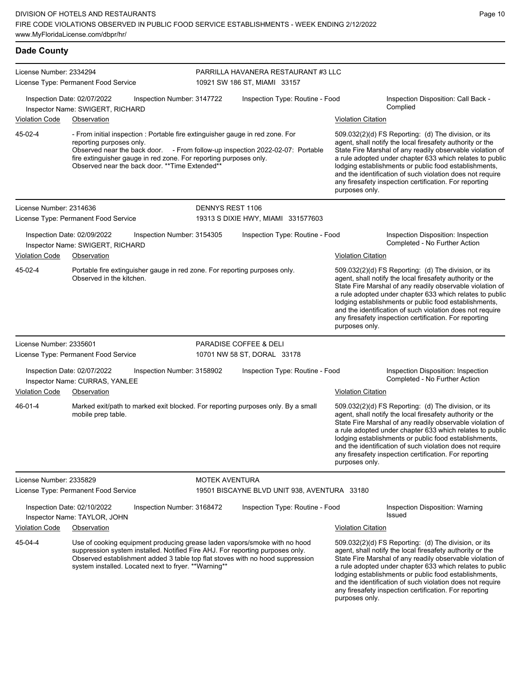| <b>Dade County</b>      |                                                                                                                                                                                                                                                                                                                   |                       |                                              |                           |                                                                                                                                                                                                                                                                                                                                                                                                                            |  |  |  |
|-------------------------|-------------------------------------------------------------------------------------------------------------------------------------------------------------------------------------------------------------------------------------------------------------------------------------------------------------------|-----------------------|----------------------------------------------|---------------------------|----------------------------------------------------------------------------------------------------------------------------------------------------------------------------------------------------------------------------------------------------------------------------------------------------------------------------------------------------------------------------------------------------------------------------|--|--|--|
| License Number: 2334294 |                                                                                                                                                                                                                                                                                                                   |                       | PARRILLA HAVANERA RESTAURANT #3 LLC          |                           |                                                                                                                                                                                                                                                                                                                                                                                                                            |  |  |  |
|                         | License Type: Permanent Food Service                                                                                                                                                                                                                                                                              |                       | 10921 SW 186 ST, MIAMI 33157                 |                           |                                                                                                                                                                                                                                                                                                                                                                                                                            |  |  |  |
|                         | Inspection Date: 02/07/2022<br>Inspection Number: 3147722<br>Inspector Name: SWIGERT, RICHARD                                                                                                                                                                                                                     |                       | Inspection Type: Routine - Food              |                           | Inspection Disposition: Call Back -<br>Complied                                                                                                                                                                                                                                                                                                                                                                            |  |  |  |
| <b>Violation Code</b>   | Observation                                                                                                                                                                                                                                                                                                       |                       |                                              | <b>Violation Citation</b> |                                                                                                                                                                                                                                                                                                                                                                                                                            |  |  |  |
| 45-02-4                 | - From initial inspection : Portable fire extinguisher gauge in red zone. For<br>reporting purposes only.<br>Observed near the back door. - From follow-up inspection 2022-02-07: Portable<br>fire extinguisher gauge in red zone. For reporting purposes only.<br>Observed near the back door. **Time Extended** |                       |                                              | purposes only.            | 509.032(2)(d) FS Reporting: (d) The division, or its<br>agent, shall notify the local firesafety authority or the<br>State Fire Marshal of any readily observable violation of<br>a rule adopted under chapter 633 which relates to public<br>lodging establishments or public food establishments,<br>and the identification of such violation does not require<br>any firesafety inspection certification. For reporting |  |  |  |
| License Number: 2314636 |                                                                                                                                                                                                                                                                                                                   | DENNYS REST 1106      |                                              |                           |                                                                                                                                                                                                                                                                                                                                                                                                                            |  |  |  |
|                         | License Type: Permanent Food Service                                                                                                                                                                                                                                                                              |                       | 19313 S DIXIE HWY, MIAMI 331577603           |                           |                                                                                                                                                                                                                                                                                                                                                                                                                            |  |  |  |
|                         | Inspection Date: 02/09/2022<br>Inspection Number: 3154305<br>Inspector Name: SWIGERT, RICHARD                                                                                                                                                                                                                     |                       | Inspection Type: Routine - Food              |                           | Inspection Disposition: Inspection<br>Completed - No Further Action                                                                                                                                                                                                                                                                                                                                                        |  |  |  |
| <b>Violation Code</b>   | Observation                                                                                                                                                                                                                                                                                                       |                       |                                              | <b>Violation Citation</b> |                                                                                                                                                                                                                                                                                                                                                                                                                            |  |  |  |
| 45-02-4                 | Portable fire extinguisher gauge in red zone. For reporting purposes only.<br>Observed in the kitchen.                                                                                                                                                                                                            |                       |                                              | purposes only.            | 509.032(2)(d) FS Reporting: (d) The division, or its<br>agent, shall notify the local firesafety authority or the<br>State Fire Marshal of any readily observable violation of<br>a rule adopted under chapter 633 which relates to public<br>lodging establishments or public food establishments,<br>and the identification of such violation does not require<br>any firesafety inspection certification. For reporting |  |  |  |
| License Number: 2335601 |                                                                                                                                                                                                                                                                                                                   |                       | PARADISE COFFEE & DELI                       |                           |                                                                                                                                                                                                                                                                                                                                                                                                                            |  |  |  |
|                         | License Type: Permanent Food Service                                                                                                                                                                                                                                                                              |                       | 10701 NW 58 ST, DORAL 33178                  |                           |                                                                                                                                                                                                                                                                                                                                                                                                                            |  |  |  |
| <b>Violation Code</b>   | Inspection Date: 02/07/2022<br>Inspection Number: 3158902<br>Inspector Name: CURRAS, YANLEE<br>Observation                                                                                                                                                                                                        |                       | Inspection Type: Routine - Food              | Violation Citation        | Inspection Disposition: Inspection<br>Completed - No Further Action                                                                                                                                                                                                                                                                                                                                                        |  |  |  |
| 46-01-4                 | Marked exit/path to marked exit blocked. For reporting purposes only. By a small<br>mobile prep table.                                                                                                                                                                                                            |                       |                                              | purposes only.            | 509.032(2)(d) FS Reporting: (d) The division, or its<br>agent, shall notify the local firesafety authority or the<br>State Fire Marshal of any readily observable violation of<br>a rule adopted under chapter 633 which relates to public<br>lodging establishments or public food establishments,<br>and the identification of such violation does not require<br>any firesafety inspection certification. For reporting |  |  |  |
| License Number: 2335829 |                                                                                                                                                                                                                                                                                                                   | <b>MOTEK AVENTURA</b> |                                              |                           |                                                                                                                                                                                                                                                                                                                                                                                                                            |  |  |  |
|                         | License Type: Permanent Food Service                                                                                                                                                                                                                                                                              |                       | 19501 BISCAYNE BLVD UNIT 938, AVENTURA 33180 |                           |                                                                                                                                                                                                                                                                                                                                                                                                                            |  |  |  |
|                         | Inspection Date: 02/10/2022<br>Inspection Number: 3168472<br>Inspector Name: TAYLOR, JOHN                                                                                                                                                                                                                         |                       | Inspection Type: Routine - Food              |                           | Inspection Disposition: Warning<br>Issued                                                                                                                                                                                                                                                                                                                                                                                  |  |  |  |
| <b>Violation Code</b>   | Observation                                                                                                                                                                                                                                                                                                       |                       |                                              | <b>Violation Citation</b> |                                                                                                                                                                                                                                                                                                                                                                                                                            |  |  |  |
| 45-04-4                 | Use of cooking equipment producing grease laden vapors/smoke with no hood<br>suppression system installed. Notified Fire AHJ. For reporting purposes only.<br>Observed establishment added 3 table top flat stoves with no hood suppression                                                                       |                       |                                              |                           | 509.032(2)(d) FS Reporting: (d) The division, or its<br>agent, shall notify the local firesafety authority or the<br>State Fire Marshal of any readily observable violation of                                                                                                                                                                                                                                             |  |  |  |

system installed. Located next to fryer. \*\*Warning\*\*

a rule adopted under chapter 633 which relates to public lodging establishments or public food establishments, and the identification of such violation does not require any firesafety inspection certification. For reporting purposes only.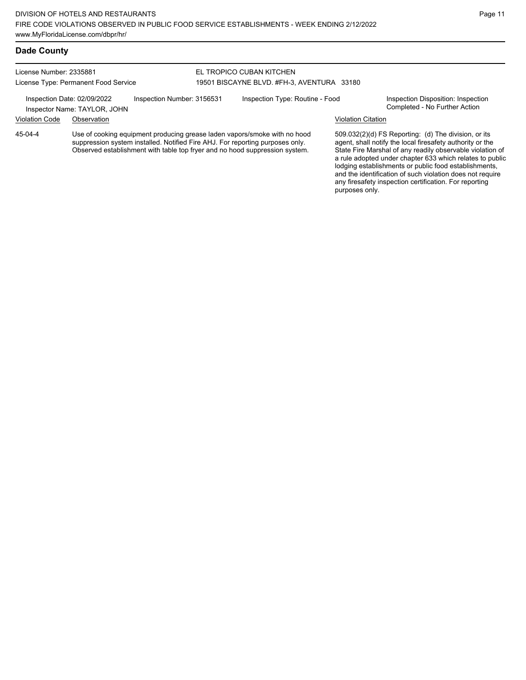License Number: 2335881 License Type: Permanent Food Service

#### EL TROPICO CUBAN KITCHEN 19501 BISCAYNE BLVD. #FH-3, AVENTURA 33180

Inspection Date: 02/09/2022 Inspection Number: 3156531 Inspection Type: Routine - Food Inspection Disposition: Inspection<br>Inspector Name: TAYLOR JOHN

Inspector Name: TAYLOR, JOHN

Violation Code Observation Violation Citation

Use of cooking equipment producing grease laden vapors/smoke with no hood suppression system installed. Notified Fire AHJ. For reporting purposes only. Observed establishment with table top fryer and no hood suppression system. 45-04-4

509.032(2)(d) FS Reporting: (d) The division, or its agent, shall notify the local firesafety authority or the State Fire Marshal of any readily observable violation of a rule adopted under chapter 633 which relates to public lodging establishments or public food establishments, and the identification of such violation does not require any firesafety inspection certification. For reporting purposes only.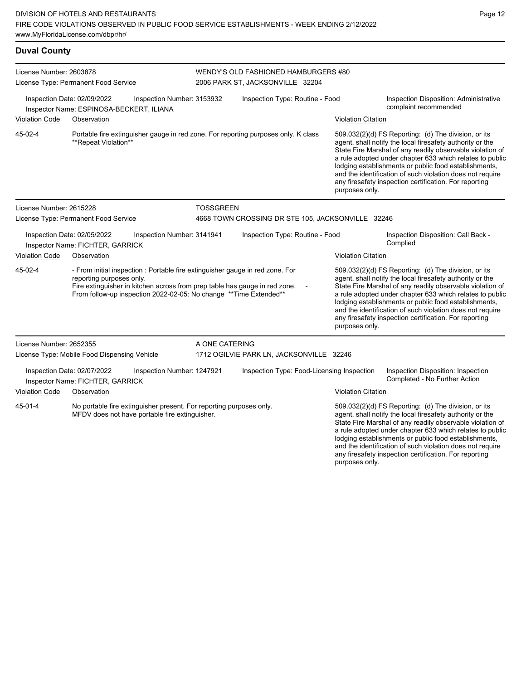| <b>Duval County</b> |
|---------------------|
|                     |

| License Number: 2603878                                                                       |                                                                         |                                                                                                                                                                                                                                   |                                  |                                 | WENDY'S OLD FASHIONED HAMBURGERS #80              |                                                 |                                                                                                                                                                                                                                                                                                                                                                                                                            |
|-----------------------------------------------------------------------------------------------|-------------------------------------------------------------------------|-----------------------------------------------------------------------------------------------------------------------------------------------------------------------------------------------------------------------------------|----------------------------------|---------------------------------|---------------------------------------------------|-------------------------------------------------|----------------------------------------------------------------------------------------------------------------------------------------------------------------------------------------------------------------------------------------------------------------------------------------------------------------------------------------------------------------------------------------------------------------------------|
|                                                                                               | License Type: Permanent Food Service                                    |                                                                                                                                                                                                                                   | 2006 PARK ST, JACKSONVILLE 32204 |                                 |                                                   |                                                 |                                                                                                                                                                                                                                                                                                                                                                                                                            |
|                                                                                               | Inspection Date: 02/09/2022<br>Inspector Name: ESPINOSA-BECKERT, ILIANA | Inspection Number: 3153932                                                                                                                                                                                                        |                                  |                                 | Inspection Type: Routine - Food                   |                                                 | Inspection Disposition: Administrative<br>complaint recommended                                                                                                                                                                                                                                                                                                                                                            |
| <b>Violation Code</b>                                                                         | Observation                                                             |                                                                                                                                                                                                                                   |                                  |                                 |                                                   | <b>Violation Citation</b>                       |                                                                                                                                                                                                                                                                                                                                                                                                                            |
| 45-02-4                                                                                       | **Repeat Violation**                                                    | Portable fire extinguisher gauge in red zone. For reporting purposes only. K class                                                                                                                                                |                                  |                                 |                                                   | purposes only.                                  | 509.032(2)(d) FS Reporting: (d) The division, or its<br>agent, shall notify the local firesafety authority or the<br>State Fire Marshal of any readily observable violation of<br>a rule adopted under chapter 633 which relates to public<br>lodging establishments or public food establishments,<br>and the identification of such violation does not require<br>any firesafety inspection certification. For reporting |
| License Number: 2615228                                                                       |                                                                         |                                                                                                                                                                                                                                   | <b>TOSSGREEN</b>                 |                                 |                                                   |                                                 |                                                                                                                                                                                                                                                                                                                                                                                                                            |
| License Type: Permanent Food Service                                                          |                                                                         |                                                                                                                                                                                                                                   |                                  |                                 | 4668 TOWN CROSSING DR STE 105, JACKSONVILLE 32246 |                                                 |                                                                                                                                                                                                                                                                                                                                                                                                                            |
| Inspection Date: 02/05/2022<br>Inspection Number: 3141941<br>Inspector Name: FICHTER, GARRICK |                                                                         |                                                                                                                                                                                                                                   |                                  | Inspection Type: Routine - Food |                                                   | Inspection Disposition: Call Back -<br>Complied |                                                                                                                                                                                                                                                                                                                                                                                                                            |
| <b>Violation Code</b>                                                                         | Observation                                                             |                                                                                                                                                                                                                                   |                                  |                                 |                                                   | <b>Violation Citation</b>                       |                                                                                                                                                                                                                                                                                                                                                                                                                            |
| 45-02-4                                                                                       | reporting purposes only.                                                | - From initial inspection : Portable fire extinguisher gauge in red zone. For<br>Fire extinguisher in kitchen across from prep table has gauge in red zone.<br>From follow-up inspection 2022-02-05: No change ** Time Extended** |                                  |                                 |                                                   | purposes only.                                  | 509.032(2)(d) FS Reporting: (d) The division, or its<br>agent, shall notify the local firesafety authority or the<br>State Fire Marshal of any readily observable violation of<br>a rule adopted under chapter 633 which relates to public<br>lodging establishments or public food establishments,<br>and the identification of such violation does not require<br>any firesafety inspection certification. For reporting |
| License Number: 2652355                                                                       |                                                                         |                                                                                                                                                                                                                                   | A ONE CATERING                   |                                 |                                                   |                                                 |                                                                                                                                                                                                                                                                                                                                                                                                                            |
|                                                                                               | License Type: Mobile Food Dispensing Vehicle                            |                                                                                                                                                                                                                                   |                                  |                                 | 1712 OGILVIE PARK LN, JACKSONVILLE 32246          |                                                 |                                                                                                                                                                                                                                                                                                                                                                                                                            |
|                                                                                               | Inspection Date: 02/07/2022<br>Inspector Name: FICHTER, GARRICK         | Inspection Number: 1247921                                                                                                                                                                                                        |                                  |                                 | Inspection Type: Food-Licensing Inspection        |                                                 | Inspection Disposition: Inspection<br>Completed - No Further Action                                                                                                                                                                                                                                                                                                                                                        |
| <b>Violation Code</b>                                                                         | Observation                                                             |                                                                                                                                                                                                                                   |                                  |                                 |                                                   | <b>Violation Citation</b>                       |                                                                                                                                                                                                                                                                                                                                                                                                                            |
| 45-01-4                                                                                       |                                                                         | No portable fire extinguisher present. For reporting purposes only.<br>MFDV does not have portable fire extinguisher.                                                                                                             |                                  |                                 |                                                   |                                                 | 509.032(2)(d) FS Reporting: (d) The division, or its<br>agent, shall notify the local firesafety authority or the<br>State Fire Marshal of any readily observable violation of<br>a rule adopted under chapter 633 which relates to public<br>lodging establishments or public food establishments,<br>and the identification of such violation does not require                                                           |

any firesafety inspection certification. For reporting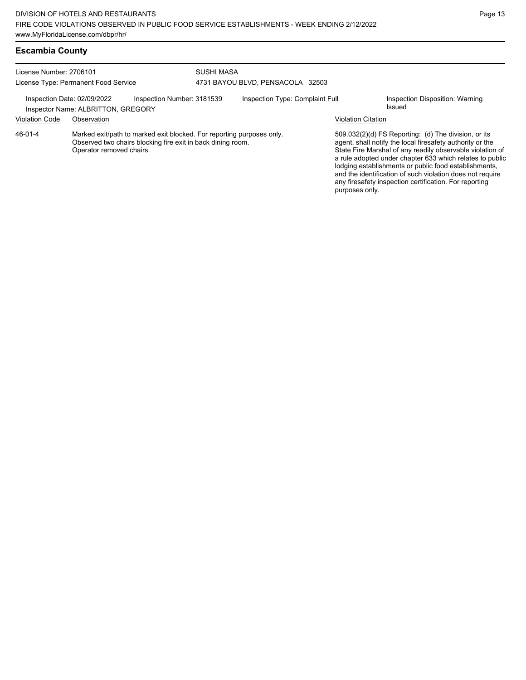| License Number: 2706101              |                                    |                                                                                                                                      | <b>SUSHI MASA</b>                |                           |                                                                                                                                                                                                                                                                                                                                                                                                                            |  |  |
|--------------------------------------|------------------------------------|--------------------------------------------------------------------------------------------------------------------------------------|----------------------------------|---------------------------|----------------------------------------------------------------------------------------------------------------------------------------------------------------------------------------------------------------------------------------------------------------------------------------------------------------------------------------------------------------------------------------------------------------------------|--|--|
| License Type: Permanent Food Service |                                    |                                                                                                                                      | 4731 BAYOU BLVD, PENSACOLA 32503 |                           |                                                                                                                                                                                                                                                                                                                                                                                                                            |  |  |
| Inspection Date: 02/09/2022          | Inspector Name: ALBRITTON, GREGORY | Inspection Number: 3181539                                                                                                           | Inspection Type: Complaint Full  |                           | Inspection Disposition: Warning<br>Issued                                                                                                                                                                                                                                                                                                                                                                                  |  |  |
| <b>Violation Code</b>                | Observation                        |                                                                                                                                      |                                  | <b>Violation Citation</b> |                                                                                                                                                                                                                                                                                                                                                                                                                            |  |  |
| 46-01-4                              | Operator removed chairs.           | Marked exit/path to marked exit blocked. For reporting purposes only.<br>Observed two chairs blocking fire exit in back dining room. |                                  | purposes only.            | 509.032(2)(d) FS Reporting: (d) The division, or its<br>agent, shall notify the local firesafety authority or the<br>State Fire Marshal of any readily observable violation of<br>a rule adopted under chapter 633 which relates to public<br>lodging establishments or public food establishments,<br>and the identification of such violation does not require<br>any firesafety inspection certification. For reporting |  |  |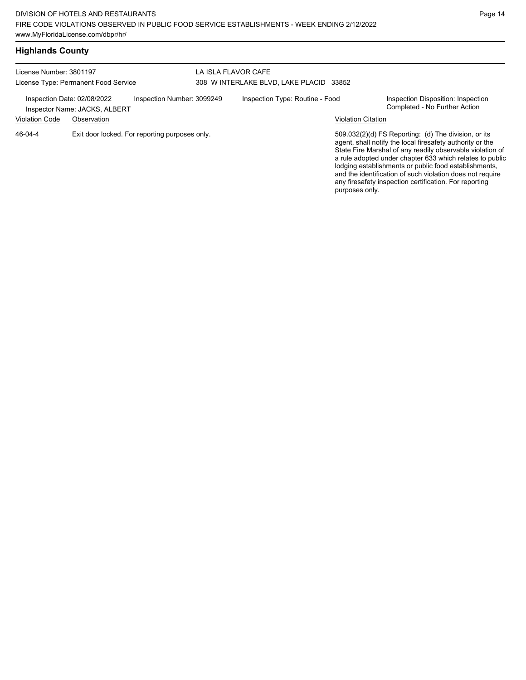| <b>Highlands County</b> |  |
|-------------------------|--|
|-------------------------|--|

| License Number: 3801197<br>License Type: Permanent Food Service |                               |                                                | LA ISLA FLAVOR CAFE<br>308 W INTERLAKE BLVD, LAKE PLACID 33852 |                                 |                           |                                                                                                                                                                                                                                                                                                                                                                                                                            |
|-----------------------------------------------------------------|-------------------------------|------------------------------------------------|----------------------------------------------------------------|---------------------------------|---------------------------|----------------------------------------------------------------------------------------------------------------------------------------------------------------------------------------------------------------------------------------------------------------------------------------------------------------------------------------------------------------------------------------------------------------------------|
| Inspection Date: 02/08/2022                                     | Inspector Name: JACKS, ALBERT | Inspection Number: 3099249                     |                                                                | Inspection Type: Routine - Food |                           | Inspection Disposition: Inspection<br>Completed - No Further Action                                                                                                                                                                                                                                                                                                                                                        |
| <b>Violation Code</b>                                           | Observation                   |                                                |                                                                |                                 | <b>Violation Citation</b> |                                                                                                                                                                                                                                                                                                                                                                                                                            |
| 46-04-4                                                         |                               | Exit door locked. For reporting purposes only. |                                                                |                                 | purposes only.            | 509.032(2)(d) FS Reporting: (d) The division, or its<br>agent, shall notify the local firesafety authority or the<br>State Fire Marshal of any readily observable violation of<br>a rule adopted under chapter 633 which relates to public<br>lodging establishments or public food establishments,<br>and the identification of such violation does not require<br>any firesafety inspection certification. For reporting |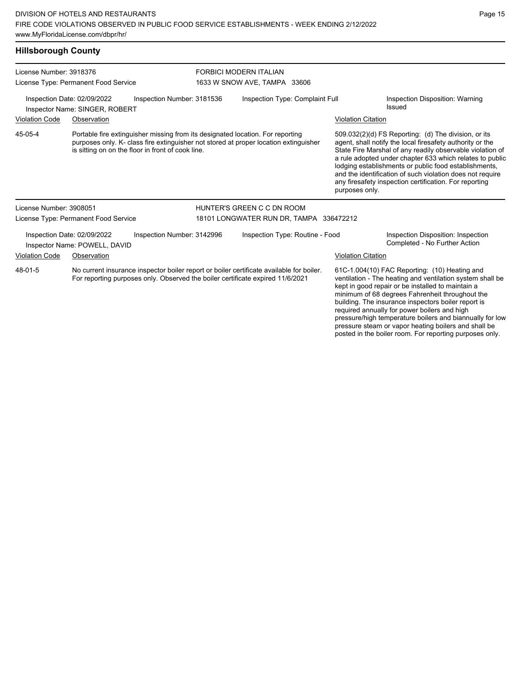FORBICI MODERN ITALIAN 1633 W SNOW AVE, TAMPA 33606

# Inspection Date: 02/09/2022 Inspection Number: 3181536 Inspection Type: Complaint Full Inspection Disposition: Warning Inspector Name: SINGER, ROBERT **Inspector Name:** SINGER, ROBERT

Portable fire extinguisher missing from its designated location. For reporting purposes only. K- class fire extinguisher not stored at proper location extinguisher is sitting on on the floor in front of cook line. 45-05-4

#### Violation Code Observation Violation Citation

509.032(2)(d) FS Reporting: (d) The division, or its agent, shall notify the local firesafety authority or the State Fire Marshal of any readily observable violation of a rule adopted under chapter 633 which relates to public lodging establishments or public food establishments, and the identification of such violation does not require any firesafety inspection certification. For reporting purposes only.

pressure steam or vapor heating boilers and shall be posted in the boiler room. For reporting purposes only.

| License Number: 3908051 |                                                              |                            | HUNTER'S GREEN C C DN ROOM                                                                                                                                                 |                           |                                                                                                                                                                                                                                                                                                                                                                                       |
|-------------------------|--------------------------------------------------------------|----------------------------|----------------------------------------------------------------------------------------------------------------------------------------------------------------------------|---------------------------|---------------------------------------------------------------------------------------------------------------------------------------------------------------------------------------------------------------------------------------------------------------------------------------------------------------------------------------------------------------------------------------|
|                         | License Type: Permanent Food Service                         |                            | 18101 LONGWATER RUN DR, TAMPA 336472212                                                                                                                                    |                           |                                                                                                                                                                                                                                                                                                                                                                                       |
|                         | Inspection Date: 02/09/2022<br>Inspector Name: POWELL, DAVID | Inspection Number: 3142996 | Inspection Type: Routine - Food                                                                                                                                            |                           | Inspection Disposition: Inspection<br>Completed - No Further Action                                                                                                                                                                                                                                                                                                                   |
| <b>Violation Code</b>   | Observation                                                  |                            |                                                                                                                                                                            | <b>Violation Citation</b> |                                                                                                                                                                                                                                                                                                                                                                                       |
| 48-01-5                 |                                                              |                            | No current insurance inspector boiler report or boiler certificate available for boiler.<br>For reporting purposes only. Observed the boiler certificate expired 11/6/2021 |                           | 61C-1.004(10) FAC Reporting: (10) Heating and<br>ventilation - The heating and ventilation system shall be<br>kept in good repair or be installed to maintain a<br>minimum of 68 degrees Fahrenheit throughout the<br>building. The insurance inspectors boiler report is<br>required annually for power boilers and high<br>pressure/high temperature boilers and biannually for low |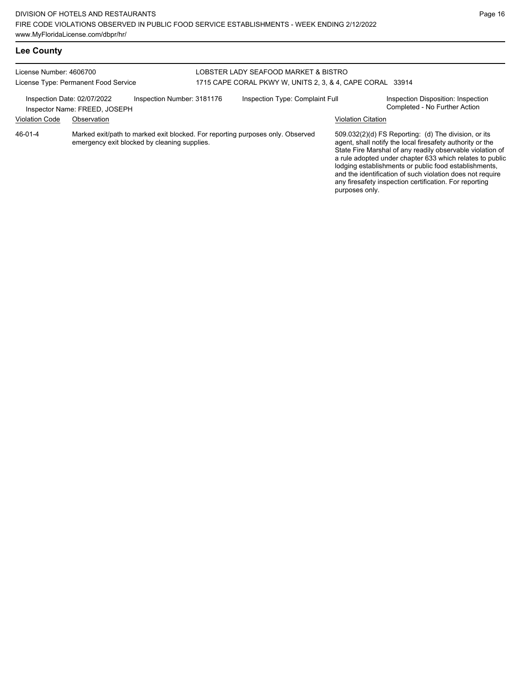# **Lee County**

#### License Number: 4606700 License Type: Permanent Food Service LOBSTER LADY SEAFOOD MARKET & BISTRO 1715 CAPE CORAL PKWY W, UNITS 2, 3, & 4, CAPE CORAL 33914 Inspection Date: 02/07/2022 Inspection Number: 3181176 Inspection Type: Complaint Full Inspection Disposition: Inspection<br>Inspector Name: EREED JOSEPH Inspector Name: FREED, JOSEPH Violation Code Observation Violation Citation Marked exit/path to marked exit blocked. For reporting purposes only. Observed emergency exit blocked by cleaning supplies. 509.032(2)(d) FS Reporting: (d) The division, or its agent, shall notify the local firesafety authority or the State Fire Marshal of any readily observable violation of a rule adopted under chapter 633 which relates to public lodging establishments or public food establishments, and the identification of such violation does not require any firesafety inspection certification. For reporting 46-01-4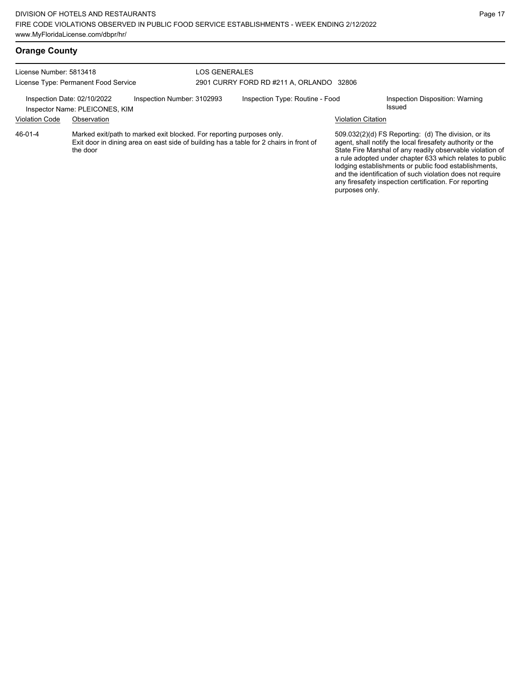| License Number: 5813418<br>License Type: Permanent Food Service |                                                               |                                                                       | LOS GENERALES | 2901 CURRY FORD RD #211 A. ORLANDO 32806                                               |                           |                                                                                                                                                                                                                                                                                                                                                                                                                            |
|-----------------------------------------------------------------|---------------------------------------------------------------|-----------------------------------------------------------------------|---------------|----------------------------------------------------------------------------------------|---------------------------|----------------------------------------------------------------------------------------------------------------------------------------------------------------------------------------------------------------------------------------------------------------------------------------------------------------------------------------------------------------------------------------------------------------------------|
|                                                                 | Inspection Date: 02/10/2022<br>Inspector Name: PLEICONES, KIM | Inspection Number: 3102993                                            |               | Inspection Type: Routine - Food                                                        |                           | Inspection Disposition: Warning<br>Issued                                                                                                                                                                                                                                                                                                                                                                                  |
| <b>Violation Code</b>                                           | Observation                                                   |                                                                       |               |                                                                                        | <b>Violation Citation</b> |                                                                                                                                                                                                                                                                                                                                                                                                                            |
| 46-01-4                                                         | the door                                                      | Marked exit/path to marked exit blocked. For reporting purposes only. |               | Exit door in dining area on east side of building has a table for 2 chairs in front of | purposes only.            | 509.032(2)(d) FS Reporting: (d) The division, or its<br>agent, shall notify the local firesafety authority or the<br>State Fire Marshal of any readily observable violation of<br>a rule adopted under chapter 633 which relates to public<br>lodging establishments or public food establishments,<br>and the identification of such violation does not require<br>any firesafety inspection certification. For reporting |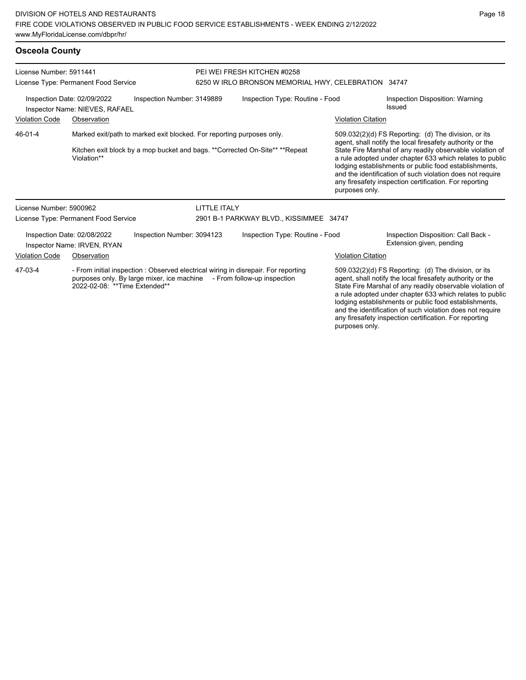### **Osceola County**

| License Number: 5911441<br>License Type: Permanent Food Service                                                                                                                                         |                                                               | PEI WEI FRESH KITCHEN #0258<br>6250 W IRLO BRONSON MEMORIAL HWY, CELEBRATION 34747 |                                           |                                                                             |                                                                                                                                                                                                                                                                                                                                                                  |                                                                                                                                                                                                                                                                                                                                                                                                                            |
|---------------------------------------------------------------------------------------------------------------------------------------------------------------------------------------------------------|---------------------------------------------------------------|------------------------------------------------------------------------------------|-------------------------------------------|-----------------------------------------------------------------------------|------------------------------------------------------------------------------------------------------------------------------------------------------------------------------------------------------------------------------------------------------------------------------------------------------------------------------------------------------------------|----------------------------------------------------------------------------------------------------------------------------------------------------------------------------------------------------------------------------------------------------------------------------------------------------------------------------------------------------------------------------------------------------------------------------|
|                                                                                                                                                                                                         | Inspection Date: 02/09/2022<br>Inspector Name: NIEVES, RAFAEL | Inspection Number: 3149889                                                         | Inspection Type: Routine - Food<br>Issued |                                                                             | Inspection Disposition: Warning                                                                                                                                                                                                                                                                                                                                  |                                                                                                                                                                                                                                                                                                                                                                                                                            |
| <b>Violation Code</b>                                                                                                                                                                                   | Observation                                                   |                                                                                    |                                           |                                                                             | <b>Violation Citation</b>                                                                                                                                                                                                                                                                                                                                        |                                                                                                                                                                                                                                                                                                                                                                                                                            |
| 46-01-4                                                                                                                                                                                                 | Violation**                                                   | Marked exit/path to marked exit blocked. For reporting purposes only.              |                                           | Kitchen exit block by a mop bucket and bags. **Corrected On-Site** **Repeat | purposes only.                                                                                                                                                                                                                                                                                                                                                   | 509.032(2)(d) FS Reporting: (d) The division, or its<br>agent, shall notify the local firesafety authority or the<br>State Fire Marshal of any readily observable violation of<br>a rule adopted under chapter 633 which relates to public<br>lodging establishments or public food establishments,<br>and the identification of such violation does not require<br>any firesafety inspection certification. For reporting |
| License Number: 5900962                                                                                                                                                                                 |                                                               |                                                                                    | <b>LITTLE ITALY</b>                       |                                                                             |                                                                                                                                                                                                                                                                                                                                                                  |                                                                                                                                                                                                                                                                                                                                                                                                                            |
|                                                                                                                                                                                                         | License Type: Permanent Food Service                          |                                                                                    |                                           | 2901 B-1 PARKWAY BLVD., KISSIMMEE 34747                                     |                                                                                                                                                                                                                                                                                                                                                                  |                                                                                                                                                                                                                                                                                                                                                                                                                            |
|                                                                                                                                                                                                         | Inspection Date: 02/08/2022<br>Inspector Name: IRVEN, RYAN    | Inspection Number: 3094123                                                         |                                           | Inspection Type: Routine - Food                                             |                                                                                                                                                                                                                                                                                                                                                                  | Inspection Disposition: Call Back -<br>Extension given, pending                                                                                                                                                                                                                                                                                                                                                            |
| <b>Violation Code</b>                                                                                                                                                                                   | Observation                                                   |                                                                                    |                                           |                                                                             | <b>Violation Citation</b>                                                                                                                                                                                                                                                                                                                                        |                                                                                                                                                                                                                                                                                                                                                                                                                            |
| 47-03-4<br>- From initial inspection: Observed electrical wiring in disrepair. For reporting<br>purposes only. By large mixer, ice machine - From follow-up inspection<br>2022-02-08: **Time Extended** |                                                               |                                                                                    |                                           |                                                                             | 509.032(2)(d) FS Reporting: (d) The division, or its<br>agent, shall notify the local firesafety authority or the<br>State Fire Marshal of any readily observable violation of<br>a rule adopted under chapter 633 which relates to public<br>lodging establishments or public food establishments,<br>and the identification of such violation does not require |                                                                                                                                                                                                                                                                                                                                                                                                                            |

any firesafety inspection certification. For reporting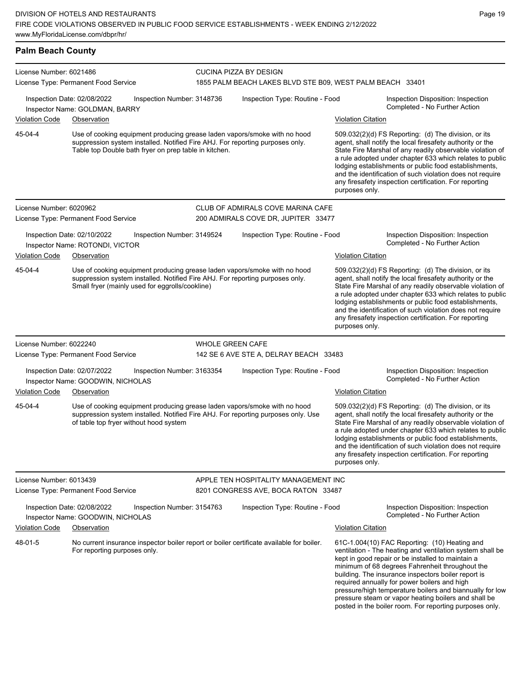# **Palm Beach County**

| License Number: 6021486                                                                                                                                                                                                        |                                                                  |                                                                                                                                  | CUCINA PIZZA BY DESIGN  |                                                                                                                                                                                                                                                                                                                                                                                                                                              |                           |                                                                                                                                                                                                                                                                                                                                                                                                                                                                                                          |  |  |
|--------------------------------------------------------------------------------------------------------------------------------------------------------------------------------------------------------------------------------|------------------------------------------------------------------|----------------------------------------------------------------------------------------------------------------------------------|-------------------------|----------------------------------------------------------------------------------------------------------------------------------------------------------------------------------------------------------------------------------------------------------------------------------------------------------------------------------------------------------------------------------------------------------------------------------------------|---------------------------|----------------------------------------------------------------------------------------------------------------------------------------------------------------------------------------------------------------------------------------------------------------------------------------------------------------------------------------------------------------------------------------------------------------------------------------------------------------------------------------------------------|--|--|
| License Type: Permanent Food Service                                                                                                                                                                                           |                                                                  |                                                                                                                                  |                         | 1855 PALM BEACH LAKES BLVD STE B09, WEST PALM BEACH 33401                                                                                                                                                                                                                                                                                                                                                                                    |                           |                                                                                                                                                                                                                                                                                                                                                                                                                                                                                                          |  |  |
|                                                                                                                                                                                                                                | Inspection Date: 02/08/2022<br>Inspector Name: GOLDMAN, BARRY    | Inspection Number: 3148736                                                                                                       |                         | Inspection Type: Routine - Food                                                                                                                                                                                                                                                                                                                                                                                                              |                           | Inspection Disposition: Inspection<br>Completed - No Further Action                                                                                                                                                                                                                                                                                                                                                                                                                                      |  |  |
| <b>Violation Code</b>                                                                                                                                                                                                          | Observation                                                      |                                                                                                                                  |                         |                                                                                                                                                                                                                                                                                                                                                                                                                                              | <b>Violation Citation</b> |                                                                                                                                                                                                                                                                                                                                                                                                                                                                                                          |  |  |
| 45-04-4<br>Use of cooking equipment producing grease laden vapors/smoke with no hood<br>suppression system installed. Notified Fire AHJ. For reporting purposes only.<br>Table top Double bath fryer on prep table in kitchen. |                                                                  |                                                                                                                                  |                         | 509.032(2)(d) FS Reporting: (d) The division, or its<br>agent, shall notify the local firesafety authority or the<br>State Fire Marshal of any readily observable violation of<br>a rule adopted under chapter 633 which relates to public<br>lodging establishments or public food establishments,<br>and the identification of such violation does not require<br>any firesafety inspection certification. For reporting<br>purposes only. |                           |                                                                                                                                                                                                                                                                                                                                                                                                                                                                                                          |  |  |
| License Number: 6020962                                                                                                                                                                                                        |                                                                  |                                                                                                                                  |                         | CLUB OF ADMIRALS COVE MARINA CAFE                                                                                                                                                                                                                                                                                                                                                                                                            |                           |                                                                                                                                                                                                                                                                                                                                                                                                                                                                                                          |  |  |
| License Type: Permanent Food Service                                                                                                                                                                                           |                                                                  |                                                                                                                                  |                         | 200 ADMIRALS COVE DR, JUPITER 33477                                                                                                                                                                                                                                                                                                                                                                                                          |                           |                                                                                                                                                                                                                                                                                                                                                                                                                                                                                                          |  |  |
|                                                                                                                                                                                                                                | Inspection Date: 02/10/2022<br>Inspector Name: ROTONDI, VICTOR   | Inspection Number: 3149524                                                                                                       |                         | Inspection Type: Routine - Food                                                                                                                                                                                                                                                                                                                                                                                                              |                           | Inspection Disposition: Inspection<br>Completed - No Further Action                                                                                                                                                                                                                                                                                                                                                                                                                                      |  |  |
| <b>Violation Code</b>                                                                                                                                                                                                          | Observation                                                      |                                                                                                                                  |                         |                                                                                                                                                                                                                                                                                                                                                                                                                                              | <b>Violation Citation</b> |                                                                                                                                                                                                                                                                                                                                                                                                                                                                                                          |  |  |
| 45-04-4                                                                                                                                                                                                                        |                                                                  | suppression system installed. Notified Fire AHJ. For reporting purposes only.<br>Small fryer (mainly used for eggrolls/cookline) |                         | Use of cooking equipment producing grease laden vapors/smoke with no hood                                                                                                                                                                                                                                                                                                                                                                    | purposes only.            | 509.032(2)(d) FS Reporting: (d) The division, or its<br>agent, shall notify the local firesafety authority or the<br>State Fire Marshal of any readily observable violation of<br>a rule adopted under chapter 633 which relates to public<br>lodging establishments or public food establishments,<br>and the identification of such violation does not require<br>any firesafety inspection certification. For reporting                                                                               |  |  |
| License Number: 6022240                                                                                                                                                                                                        |                                                                  |                                                                                                                                  | <b>WHOLE GREEN CAFE</b> |                                                                                                                                                                                                                                                                                                                                                                                                                                              |                           |                                                                                                                                                                                                                                                                                                                                                                                                                                                                                                          |  |  |
| License Type: Permanent Food Service                                                                                                                                                                                           |                                                                  |                                                                                                                                  |                         | 142 SE 6 AVE STE A, DELRAY BEACH 33483                                                                                                                                                                                                                                                                                                                                                                                                       |                           |                                                                                                                                                                                                                                                                                                                                                                                                                                                                                                          |  |  |
|                                                                                                                                                                                                                                | Inspection Date: 02/07/2022<br>Inspector Name: GOODWIN, NICHOLAS | Inspection Number: 3163354                                                                                                       |                         | Inspection Type: Routine - Food                                                                                                                                                                                                                                                                                                                                                                                                              |                           | Inspection Disposition: Inspection<br>Completed - No Further Action                                                                                                                                                                                                                                                                                                                                                                                                                                      |  |  |
| <b>Violation Code</b>                                                                                                                                                                                                          | Observation                                                      |                                                                                                                                  |                         |                                                                                                                                                                                                                                                                                                                                                                                                                                              | <b>Violation Citation</b> |                                                                                                                                                                                                                                                                                                                                                                                                                                                                                                          |  |  |
| 45-04-4                                                                                                                                                                                                                        |                                                                  | of table top fryer without hood system                                                                                           |                         | Use of cooking equipment producing grease laden vapors/smoke with no hood<br>suppression system installed. Notified Fire AHJ. For reporting purposes only. Use                                                                                                                                                                                                                                                                               | purposes only.            | 509.032(2)(d) FS Reporting: (d) The division, or its<br>agent, shall notify the local firesafety authority or the<br>State Fire Marshal of any readily observable violation of<br>a rule adopted under chapter 633 which relates to public<br>lodging establishments or public food establishments,<br>and the identification of such violation does not require<br>any firesafety inspection certification. For reporting                                                                               |  |  |
| License Number: 6013439                                                                                                                                                                                                        |                                                                  |                                                                                                                                  |                         | APPLE TEN HOSPITALITY MANAGEMENT INC                                                                                                                                                                                                                                                                                                                                                                                                         |                           |                                                                                                                                                                                                                                                                                                                                                                                                                                                                                                          |  |  |
| License Type: Permanent Food Service                                                                                                                                                                                           |                                                                  |                                                                                                                                  |                         | 8201 CONGRESS AVE, BOCA RATON 33487                                                                                                                                                                                                                                                                                                                                                                                                          |                           |                                                                                                                                                                                                                                                                                                                                                                                                                                                                                                          |  |  |
|                                                                                                                                                                                                                                | Inspection Date: 02/08/2022<br>Inspector Name: GOODWIN, NICHOLAS | Inspection Number: 3154763                                                                                                       |                         | Inspection Type: Routine - Food                                                                                                                                                                                                                                                                                                                                                                                                              |                           | Inspection Disposition: Inspection<br>Completed - No Further Action                                                                                                                                                                                                                                                                                                                                                                                                                                      |  |  |
| <b>Violation Code</b>                                                                                                                                                                                                          | Observation                                                      |                                                                                                                                  |                         |                                                                                                                                                                                                                                                                                                                                                                                                                                              | <b>Violation Citation</b> |                                                                                                                                                                                                                                                                                                                                                                                                                                                                                                          |  |  |
| 48-01-5                                                                                                                                                                                                                        | For reporting purposes only.                                     |                                                                                                                                  |                         | No current insurance inspector boiler report or boiler certificate available for boiler.                                                                                                                                                                                                                                                                                                                                                     |                           | 61C-1.004(10) FAC Reporting: (10) Heating and<br>ventilation - The heating and ventilation system shall be<br>kept in good repair or be installed to maintain a<br>minimum of 68 degrees Fahrenheit throughout the<br>building. The insurance inspectors boiler report is<br>required annually for power boilers and high<br>pressure/high temperature boilers and biannually for low<br>pressure steam or vapor heating boilers and shall be<br>posted in the boiler room. For reporting purposes only. |  |  |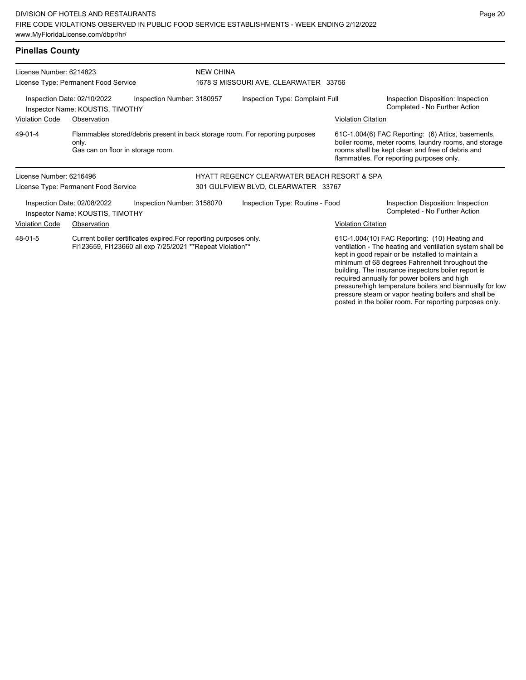pressure steam or vapor heating boilers and shall be posted in the boiler room. For reporting purposes only.

| <b>Pinellas County</b>                                                                        |                                                                                                                             |                                                                                                                                 |                                 |                                                        |                                                                     |                                                                                                                                                                                                                                                                                                                                                                                       |  |
|-----------------------------------------------------------------------------------------------|-----------------------------------------------------------------------------------------------------------------------------|---------------------------------------------------------------------------------------------------------------------------------|---------------------------------|--------------------------------------------------------|---------------------------------------------------------------------|---------------------------------------------------------------------------------------------------------------------------------------------------------------------------------------------------------------------------------------------------------------------------------------------------------------------------------------------------------------------------------------|--|
| License Number: 6214823                                                                       |                                                                                                                             |                                                                                                                                 | <b>NEW CHINA</b>                |                                                        |                                                                     |                                                                                                                                                                                                                                                                                                                                                                                       |  |
|                                                                                               | License Type: Permanent Food Service                                                                                        |                                                                                                                                 |                                 | 1678 S MISSOURI AVE, CLEARWATER 33756                  |                                                                     |                                                                                                                                                                                                                                                                                                                                                                                       |  |
| Inspection Date: 02/10/2022<br>Inspection Number: 3180957<br>Inspector Name: KOUSTIS, TIMOTHY |                                                                                                                             |                                                                                                                                 | Inspection Type: Complaint Full |                                                        | Inspection Disposition: Inspection<br>Completed - No Further Action |                                                                                                                                                                                                                                                                                                                                                                                       |  |
| <b>Violation Code</b>                                                                         | Observation                                                                                                                 |                                                                                                                                 |                                 |                                                        | <b>Violation Citation</b>                                           |                                                                                                                                                                                                                                                                                                                                                                                       |  |
| 49-01-4                                                                                       | Flammables stored/debris present in back storage room. For reporting purposes<br>only.<br>Gas can on floor in storage room. |                                                                                                                                 |                                 |                                                        |                                                                     | 61C-1.004(6) FAC Reporting: (6) Attics, basements,<br>boiler rooms, meter rooms, laundry rooms, and storage<br>rooms shall be kept clean and free of debris and<br>flammables. For reporting purposes only.                                                                                                                                                                           |  |
| License Number: 6216496                                                                       |                                                                                                                             |                                                                                                                                 |                                 | <b>HYATT REGENCY CLEARWATER BEACH RESORT &amp; SPA</b> |                                                                     |                                                                                                                                                                                                                                                                                                                                                                                       |  |
|                                                                                               | License Type: Permanent Food Service                                                                                        |                                                                                                                                 |                                 | 301 GULFVIEW BLVD, CLEARWATER 33767                    |                                                                     |                                                                                                                                                                                                                                                                                                                                                                                       |  |
|                                                                                               | Inspection Date: 02/08/2022<br>Inspector Name: KOUSTIS, TIMOTHY                                                             | Inspection Number: 3158070                                                                                                      |                                 | Inspection Type: Routine - Food                        |                                                                     | Inspection Disposition: Inspection<br>Completed - No Further Action                                                                                                                                                                                                                                                                                                                   |  |
| <b>Violation Code</b>                                                                         | Observation                                                                                                                 |                                                                                                                                 |                                 |                                                        | <b>Violation Citation</b>                                           |                                                                                                                                                                                                                                                                                                                                                                                       |  |
| 48-01-5                                                                                       |                                                                                                                             | Current boiler certificates expired. For reporting purposes only.<br>FI123659, FI123660 all exp 7/25/2021 ** Repeat Violation** |                                 |                                                        |                                                                     | 61C-1.004(10) FAC Reporting: (10) Heating and<br>ventilation - The heating and ventilation system shall be<br>kept in good repair or be installed to maintain a<br>minimum of 68 degrees Fahrenheit throughout the<br>building. The insurance inspectors boiler report is<br>required annually for power boilers and high<br>pressure/high temperature boilers and biannually for low |  |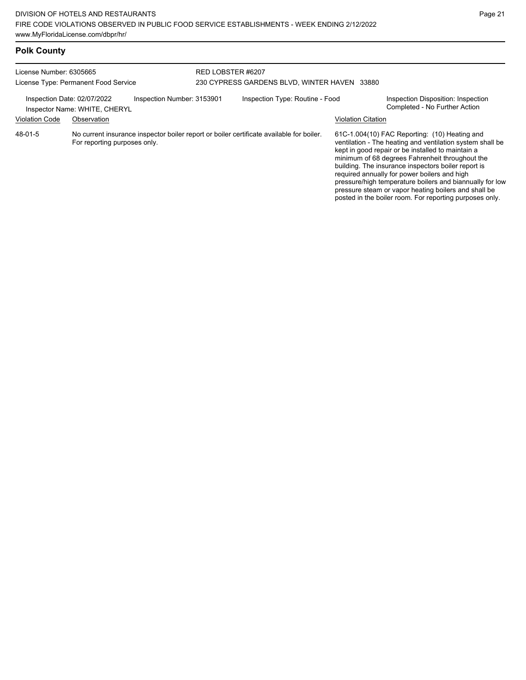| License Number: 6305665<br>License Type: Permanent Food Service                            |                              | RED LOBSTER #6207 | 230 CYPRESS GARDENS BLVD. WINTER HAVEN 33880 |                                                                                          |                                                                     |                                                                                                                                                                                                                                                                                                                                                                                                                                               |
|--------------------------------------------------------------------------------------------|------------------------------|-------------------|----------------------------------------------|------------------------------------------------------------------------------------------|---------------------------------------------------------------------|-----------------------------------------------------------------------------------------------------------------------------------------------------------------------------------------------------------------------------------------------------------------------------------------------------------------------------------------------------------------------------------------------------------------------------------------------|
| Inspection Number: 3153901<br>Inspection Date: 02/07/2022<br>Inspector Name: WHITE, CHERYL |                              |                   | Inspection Type: Routine - Food              |                                                                                          | Inspection Disposition: Inspection<br>Completed - No Further Action |                                                                                                                                                                                                                                                                                                                                                                                                                                               |
| <b>Violation Code</b>                                                                      | Observation                  |                   |                                              |                                                                                          | <b>Violation Citation</b>                                           |                                                                                                                                                                                                                                                                                                                                                                                                                                               |
| $48 - 01 - 5$                                                                              | For reporting purposes only. |                   |                                              | No current insurance inspector boiler report or boiler certificate available for boiler. |                                                                     | 61C-1.004(10) FAC Reporting: (10) Heating and<br>ventilation - The heating and ventilation system shall be<br>kept in good repair or be installed to maintain a<br>minimum of 68 degrees Fahrenheit throughout the<br>building. The insurance inspectors boiler report is<br>required annually for power boilers and high<br>pressure/high temperature boilers and biannually for low<br>pressure steam or vapor heating boilers and shall be |

posted in the boiler room. For reporting purposes only.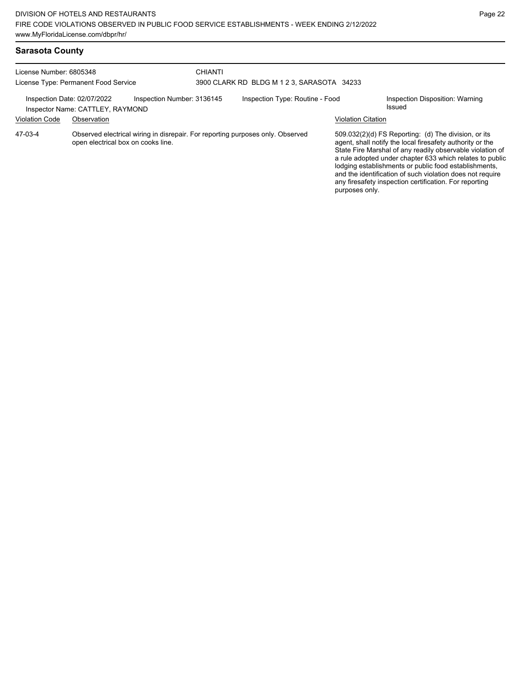| Sarasota County |  |
|-----------------|--|
|-----------------|--|

| License Number: 6805348<br>License Type: Permanent Food Service |                                                                                                                      | CHIANTI<br>3900 CLARK RD BLDG M 1 2 3, SARASOTA 34233 |                           |                                                                                                                                                                                                                                                                                                                                                                                                                            |  |
|-----------------------------------------------------------------|----------------------------------------------------------------------------------------------------------------------|-------------------------------------------------------|---------------------------|----------------------------------------------------------------------------------------------------------------------------------------------------------------------------------------------------------------------------------------------------------------------------------------------------------------------------------------------------------------------------------------------------------------------------|--|
| Inspection Date: 02/07/2022<br><b>Violation Code</b>            | Inspection Number: 3136145<br>Inspector Name: CATTLEY, RAYMOND<br>Observation                                        | Inspection Type: Routine - Food                       | <b>Violation Citation</b> | Inspection Disposition: Warning<br><b>Issued</b>                                                                                                                                                                                                                                                                                                                                                                           |  |
| 47-03-4                                                         | Observed electrical wiring in disrepair. For reporting purposes only. Observed<br>open electrical box on cooks line. |                                                       | purposes only.            | 509.032(2)(d) FS Reporting: (d) The division, or its<br>agent, shall notify the local firesafety authority or the<br>State Fire Marshal of any readily observable violation of<br>a rule adopted under chapter 633 which relates to public<br>lodging establishments or public food establishments,<br>and the identification of such violation does not require<br>any firesafety inspection certification. For reporting |  |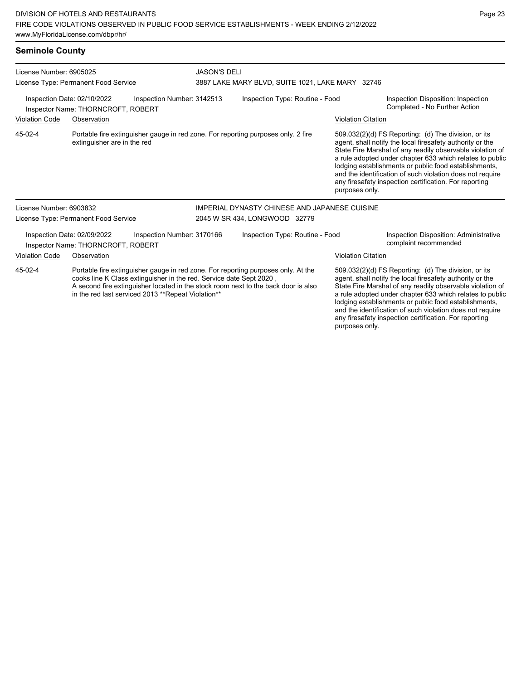# **Seminole County**

| License Number: 6905025                                                                                                                                                                                                                                                                                         | License Type: Permanent Food Service                              |                            | <b>JASON'S DELI</b>             | 3887 LAKE MARY BLVD, SUITE 1021, LAKE MARY 32746                                  |                                                                                                                                                                                                                                                                                                                                                                                                                            |                                                                                                                                                                                                                                                                                                                                                                                                                            |
|-----------------------------------------------------------------------------------------------------------------------------------------------------------------------------------------------------------------------------------------------------------------------------------------------------------------|-------------------------------------------------------------------|----------------------------|---------------------------------|-----------------------------------------------------------------------------------|----------------------------------------------------------------------------------------------------------------------------------------------------------------------------------------------------------------------------------------------------------------------------------------------------------------------------------------------------------------------------------------------------------------------------|----------------------------------------------------------------------------------------------------------------------------------------------------------------------------------------------------------------------------------------------------------------------------------------------------------------------------------------------------------------------------------------------------------------------------|
| Inspection Date: 02/10/2022<br>Inspection Number: 3142513<br>Inspector Name: THORNCROFT, ROBERT                                                                                                                                                                                                                 |                                                                   |                            | Inspection Type: Routine - Food |                                                                                   | Inspection Disposition: Inspection<br>Completed - No Further Action                                                                                                                                                                                                                                                                                                                                                        |                                                                                                                                                                                                                                                                                                                                                                                                                            |
| <b>Violation Code</b>                                                                                                                                                                                                                                                                                           | Observation                                                       |                            |                                 |                                                                                   | <b>Violation Citation</b>                                                                                                                                                                                                                                                                                                                                                                                                  |                                                                                                                                                                                                                                                                                                                                                                                                                            |
| 45-02-4                                                                                                                                                                                                                                                                                                         | extinguisher are in the red                                       |                            |                                 | Portable fire extinguisher gauge in red zone. For reporting purposes only. 2 fire | purposes only.                                                                                                                                                                                                                                                                                                                                                                                                             | 509.032(2)(d) FS Reporting: (d) The division, or its<br>agent, shall notify the local firesafety authority or the<br>State Fire Marshal of any readily observable violation of<br>a rule adopted under chapter 633 which relates to public<br>lodging establishments or public food establishments,<br>and the identification of such violation does not require<br>any firesafety inspection certification. For reporting |
| License Number: 6903832                                                                                                                                                                                                                                                                                         |                                                                   |                            |                                 | IMPERIAL DYNASTY CHINESE AND JAPANESE CUISINE                                     |                                                                                                                                                                                                                                                                                                                                                                                                                            |                                                                                                                                                                                                                                                                                                                                                                                                                            |
|                                                                                                                                                                                                                                                                                                                 | License Type: Permanent Food Service                              |                            |                                 | 2045 W SR 434, LONGWOOD 32779                                                     |                                                                                                                                                                                                                                                                                                                                                                                                                            |                                                                                                                                                                                                                                                                                                                                                                                                                            |
|                                                                                                                                                                                                                                                                                                                 | Inspection Date: 02/09/2022<br>Inspector Name: THORNCROFT, ROBERT | Inspection Number: 3170166 |                                 | Inspection Type: Routine - Food                                                   |                                                                                                                                                                                                                                                                                                                                                                                                                            | Inspection Disposition: Administrative<br>complaint recommended                                                                                                                                                                                                                                                                                                                                                            |
| <b>Violation Code</b>                                                                                                                                                                                                                                                                                           | Observation                                                       |                            |                                 |                                                                                   | <b>Violation Citation</b>                                                                                                                                                                                                                                                                                                                                                                                                  |                                                                                                                                                                                                                                                                                                                                                                                                                            |
| Portable fire extinguisher gauge in red zone. For reporting purposes only. At the<br>45-02-4<br>cooks line K Class extinguisher in the red. Service date Sept 2020,<br>A second fire extinguisher located in the stock room next to the back door is also<br>in the red last serviced 2013 **Repeat Violation** |                                                                   |                            |                                 |                                                                                   | 509.032(2)(d) FS Reporting: (d) The division, or its<br>agent, shall notify the local firesafety authority or the<br>State Fire Marshal of any readily observable violation of<br>a rule adopted under chapter 633 which relates to public<br>lodging establishments or public food establishments,<br>and the identification of such violation does not require<br>any firesafety inspection certification. For reporting |                                                                                                                                                                                                                                                                                                                                                                                                                            |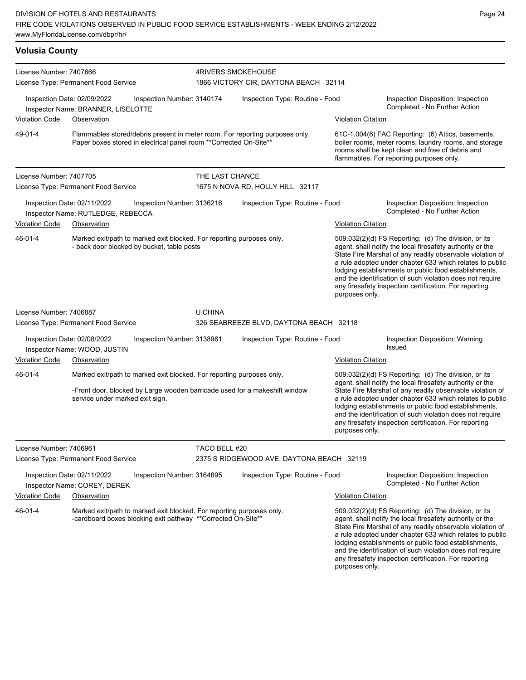| <b>Volusia County</b>   |                                                                                                                                       |                            |                                                                       |                                                                              |                                                                                                                   |                                                                                                                                                                                                                                                                                                                                                                                                                            |
|-------------------------|---------------------------------------------------------------------------------------------------------------------------------------|----------------------------|-----------------------------------------------------------------------|------------------------------------------------------------------------------|-------------------------------------------------------------------------------------------------------------------|----------------------------------------------------------------------------------------------------------------------------------------------------------------------------------------------------------------------------------------------------------------------------------------------------------------------------------------------------------------------------------------------------------------------------|
| License Number: 7407666 |                                                                                                                                       |                            | <b>4RIVERS SMOKEHOUSE</b>                                             |                                                                              |                                                                                                                   |                                                                                                                                                                                                                                                                                                                                                                                                                            |
|                         | License Type: Permanent Food Service                                                                                                  |                            |                                                                       | 1866 VICTORY CIR, DAYTONA BEACH 32114                                        |                                                                                                                   |                                                                                                                                                                                                                                                                                                                                                                                                                            |
|                         | Inspection Date: 02/09/2022<br>Inspector Name: BRANNER, LISELOTTE                                                                     | Inspection Number: 3140174 |                                                                       | Inspection Type: Routine - Food                                              |                                                                                                                   | Inspection Disposition: Inspection<br>Completed - No Further Action                                                                                                                                                                                                                                                                                                                                                        |
| <b>Violation Code</b>   | Observation                                                                                                                           |                            |                                                                       |                                                                              | <b>Violation Citation</b>                                                                                         |                                                                                                                                                                                                                                                                                                                                                                                                                            |
| 49-01-4                 | Paper boxes stored in electrical panel room ** Corrected On-Site**                                                                    |                            |                                                                       | Flammables stored/debris present in meter room. For reporting purposes only. |                                                                                                                   | 61C-1.004(6) FAC Reporting: (6) Attics, basements,<br>boiler rooms, meter rooms, laundry rooms, and storage<br>rooms shall be kept clean and free of debris and<br>flammables. For reporting purposes only.                                                                                                                                                                                                                |
| License Number: 7407705 |                                                                                                                                       |                            | THE LAST CHANCE                                                       |                                                                              |                                                                                                                   |                                                                                                                                                                                                                                                                                                                                                                                                                            |
|                         | License Type: Permanent Food Service                                                                                                  |                            |                                                                       | 1675 N NOVA RD, HOLLY HILL 32117                                             |                                                                                                                   |                                                                                                                                                                                                                                                                                                                                                                                                                            |
| <b>Violation Code</b>   | Inspection Date: 02/11/2022<br>Inspector Name: RUTLEDGE, REBECCA<br>Observation                                                       | Inspection Number: 3136216 |                                                                       | Inspection Type: Routine - Food                                              | <b>Violation Citation</b>                                                                                         | Inspection Disposition: Inspection<br>Completed - No Further Action                                                                                                                                                                                                                                                                                                                                                        |
| 46-01-4                 | Marked exit/path to marked exit blocked. For reporting purposes only.<br>- back door blocked by bucket, table posts                   |                            |                                                                       |                                                                              | purposes only.                                                                                                    | 509.032(2)(d) FS Reporting: (d) The division, or its<br>agent, shall notify the local firesafety authority or the<br>State Fire Marshal of any readily observable violation of<br>a rule adopted under chapter 633 which relates to public<br>lodging establishments or public food establishments,<br>and the identification of such violation does not require<br>any firesafety inspection certification. For reporting |
| License Number: 7406887 | License Type: Permanent Food Service                                                                                                  |                            | U CHINA                                                               | 326 SEABREEZE BLVD, DAYTONA BEACH 32118                                      |                                                                                                                   |                                                                                                                                                                                                                                                                                                                                                                                                                            |
|                         | Inspection Date: 02/08/2022<br>Inspector Name: WOOD, JUSTIN                                                                           | Inspection Number: 3138961 |                                                                       | Inspection Type: Routine - Food                                              |                                                                                                                   | Inspection Disposition: Warning<br>Issued                                                                                                                                                                                                                                                                                                                                                                                  |
| <b>Violation Code</b>   | Observation                                                                                                                           |                            |                                                                       |                                                                              | <b>Violation Citation</b>                                                                                         |                                                                                                                                                                                                                                                                                                                                                                                                                            |
| 46-01-4                 |                                                                                                                                       |                            | Marked exit/path to marked exit blocked. For reporting purposes only. |                                                                              | 509.032(2)(d) FS Reporting: (d) The division, or its<br>agent, shall notify the local firesafety authority or the |                                                                                                                                                                                                                                                                                                                                                                                                                            |
|                         | service under marked exit sign.                                                                                                       |                            |                                                                       | -Front door, blocked by Large wooden barricade used for a makeshift window   | purposes only.                                                                                                    | State Fire Marshal of any readily observable violation of<br>a rule adopted under chapter 633 which relates to public<br>lodging establishments or public food establishments,<br>and the identification of such violation does not require<br>any firesafety inspection certification. For reporting                                                                                                                      |
| License Number: 7406961 |                                                                                                                                       |                            | TACO BELL #20                                                         |                                                                              |                                                                                                                   |                                                                                                                                                                                                                                                                                                                                                                                                                            |
|                         | License Type: Permanent Food Service                                                                                                  |                            |                                                                       | 2375 S RIDGEWOOD AVE, DAYTONA BEACH 32119                                    |                                                                                                                   |                                                                                                                                                                                                                                                                                                                                                                                                                            |
|                         | Inspection Date: 02/11/2022<br>Inspector Name: COREY, DEREK                                                                           | Inspection Number: 3164895 |                                                                       | Inspection Type: Routine - Food                                              |                                                                                                                   | Inspection Disposition: Inspection<br>Completed - No Further Action                                                                                                                                                                                                                                                                                                                                                        |
| <b>Violation Code</b>   | Observation                                                                                                                           |                            |                                                                       |                                                                              | <b>Violation Citation</b>                                                                                         |                                                                                                                                                                                                                                                                                                                                                                                                                            |
| 46-01-4                 | Marked exit/path to marked exit blocked. For reporting purposes only.<br>-cardboard boxes blocking exit pathway **Corrected On-Site** |                            |                                                                       |                                                                              |                                                                                                                   | 509.032(2)(d) FS Reporting: (d) The division, or its<br>agent, shall notify the local firesafety authority or the<br>State Fire Marshal of any readily observable violation of<br>a rule adopted under chapter 633 which relates to public<br>lodging establishments or public food establishments,<br>and the identification of such violation does not require<br>any firesafety inspection certification. For reporting |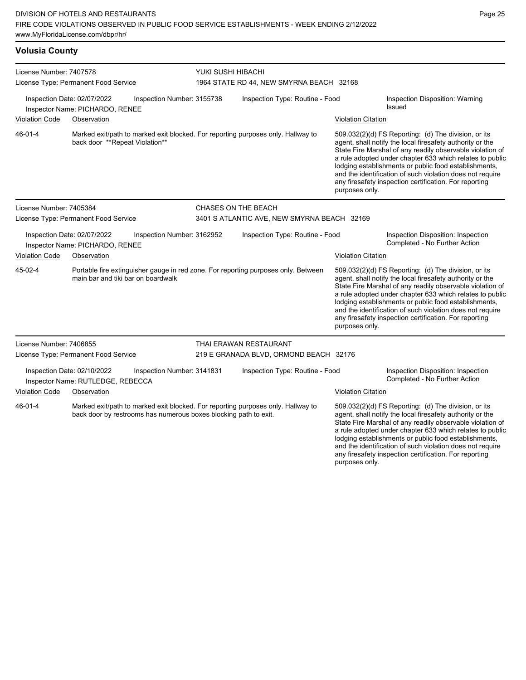| <b>Volusia County</b> |  |
|-----------------------|--|
|                       |  |

| License Number: 7407578<br>License Type: Permanent Food Service                                |                                                                |                                                                                    | YUKI SUSHI HIBACHI                                                               |                                                                                                                                                                                                                                                                                                                                                                                                                                              |                                                                                                                                                                                                                                                                                                                                                                                                                                              |                                                                                                                                                                                                                                                                                                                                                                                                                            |  |
|------------------------------------------------------------------------------------------------|----------------------------------------------------------------|------------------------------------------------------------------------------------|----------------------------------------------------------------------------------|----------------------------------------------------------------------------------------------------------------------------------------------------------------------------------------------------------------------------------------------------------------------------------------------------------------------------------------------------------------------------------------------------------------------------------------------|----------------------------------------------------------------------------------------------------------------------------------------------------------------------------------------------------------------------------------------------------------------------------------------------------------------------------------------------------------------------------------------------------------------------------------------------|----------------------------------------------------------------------------------------------------------------------------------------------------------------------------------------------------------------------------------------------------------------------------------------------------------------------------------------------------------------------------------------------------------------------------|--|
|                                                                                                |                                                                |                                                                                    | 1964 STATE RD 44, NEW SMYRNA BEACH 32168                                         |                                                                                                                                                                                                                                                                                                                                                                                                                                              |                                                                                                                                                                                                                                                                                                                                                                                                                                              |                                                                                                                                                                                                                                                                                                                                                                                                                            |  |
|                                                                                                | Inspection Date: 02/07/2022<br>Inspector Name: PICHARDO, RENEE | Inspection Number: 3155738                                                         |                                                                                  | Inspection Type: Routine - Food                                                                                                                                                                                                                                                                                                                                                                                                              |                                                                                                                                                                                                                                                                                                                                                                                                                                              | Inspection Disposition: Warning<br>Issued                                                                                                                                                                                                                                                                                                                                                                                  |  |
| <b>Violation Code</b>                                                                          | Observation                                                    |                                                                                    |                                                                                  |                                                                                                                                                                                                                                                                                                                                                                                                                                              | <b>Violation Citation</b>                                                                                                                                                                                                                                                                                                                                                                                                                    |                                                                                                                                                                                                                                                                                                                                                                                                                            |  |
| 46-01-4<br>back door **Repeat Violation**                                                      |                                                                |                                                                                    | Marked exit/path to marked exit blocked. For reporting purposes only. Hallway to |                                                                                                                                                                                                                                                                                                                                                                                                                                              | 509.032(2)(d) FS Reporting: (d) The division, or its<br>agent, shall notify the local firesafety authority or the<br>State Fire Marshal of any readily observable violation of<br>a rule adopted under chapter 633 which relates to public<br>lodging establishments or public food establishments,<br>and the identification of such violation does not require<br>any firesafety inspection certification. For reporting<br>purposes only. |                                                                                                                                                                                                                                                                                                                                                                                                                            |  |
| License Number: 7405384                                                                        |                                                                |                                                                                    | CHASES ON THE BEACH                                                              |                                                                                                                                                                                                                                                                                                                                                                                                                                              |                                                                                                                                                                                                                                                                                                                                                                                                                                              |                                                                                                                                                                                                                                                                                                                                                                                                                            |  |
| License Type: Permanent Food Service                                                           |                                                                |                                                                                    | 3401 S ATLANTIC AVE, NEW SMYRNA BEACH 32169                                      |                                                                                                                                                                                                                                                                                                                                                                                                                                              |                                                                                                                                                                                                                                                                                                                                                                                                                                              |                                                                                                                                                                                                                                                                                                                                                                                                                            |  |
|                                                                                                | Inspection Date: 02/07/2022<br>Inspector Name: PICHARDO, RENEE | Inspection Number: 3162952                                                         |                                                                                  | Inspection Type: Routine - Food                                                                                                                                                                                                                                                                                                                                                                                                              |                                                                                                                                                                                                                                                                                                                                                                                                                                              | Inspection Disposition: Inspection<br>Completed - No Further Action                                                                                                                                                                                                                                                                                                                                                        |  |
| <b>Violation Code</b>                                                                          | Observation                                                    |                                                                                    |                                                                                  |                                                                                                                                                                                                                                                                                                                                                                                                                                              | <b>Violation Citation</b>                                                                                                                                                                                                                                                                                                                                                                                                                    |                                                                                                                                                                                                                                                                                                                                                                                                                            |  |
| 45-02-4<br>main bar and tiki bar on boardwalk                                                  |                                                                | Portable fire extinguisher gauge in red zone. For reporting purposes only. Between |                                                                                  | 509.032(2)(d) FS Reporting: (d) The division, or its<br>agent, shall notify the local firesafety authority or the<br>State Fire Marshal of any readily observable violation of<br>a rule adopted under chapter 633 which relates to public<br>lodging establishments or public food establishments,<br>and the identification of such violation does not require<br>any firesafety inspection certification. For reporting<br>purposes only. |                                                                                                                                                                                                                                                                                                                                                                                                                                              |                                                                                                                                                                                                                                                                                                                                                                                                                            |  |
| License Number: 7406855                                                                        |                                                                |                                                                                    |                                                                                  | THAI ERAWAN RESTAURANT                                                                                                                                                                                                                                                                                                                                                                                                                       |                                                                                                                                                                                                                                                                                                                                                                                                                                              |                                                                                                                                                                                                                                                                                                                                                                                                                            |  |
|                                                                                                | License Type: Permanent Food Service                           |                                                                                    |                                                                                  | 219 E GRANADA BLVD, ORMOND BEACH 32176                                                                                                                                                                                                                                                                                                                                                                                                       |                                                                                                                                                                                                                                                                                                                                                                                                                                              |                                                                                                                                                                                                                                                                                                                                                                                                                            |  |
| Inspection Date: 02/10/2022<br>Inspection Number: 3141831<br>Inspector Name: RUTLEDGE, REBECCA |                                                                |                                                                                    | Inspection Type: Routine - Food                                                  |                                                                                                                                                                                                                                                                                                                                                                                                                                              |                                                                                                                                                                                                                                                                                                                                                                                                                                              | Inspection Disposition: Inspection<br>Completed - No Further Action                                                                                                                                                                                                                                                                                                                                                        |  |
| <b>Violation Code</b>                                                                          | Observation                                                    |                                                                                    |                                                                                  |                                                                                                                                                                                                                                                                                                                                                                                                                                              | <b>Violation Citation</b>                                                                                                                                                                                                                                                                                                                                                                                                                    |                                                                                                                                                                                                                                                                                                                                                                                                                            |  |
| 46-01-4                                                                                        |                                                                | back door by restrooms has numerous boxes blocking path to exit.                   |                                                                                  | Marked exit/path to marked exit blocked. For reporting purposes only. Hallway to                                                                                                                                                                                                                                                                                                                                                             |                                                                                                                                                                                                                                                                                                                                                                                                                                              | 509.032(2)(d) FS Reporting: (d) The division, or its<br>agent, shall notify the local firesafety authority or the<br>State Fire Marshal of any readily observable violation of<br>a rule adopted under chapter 633 which relates to public<br>lodging establishments or public food establishments,<br>and the identification of such violation does not require<br>any firesafety inspection certification. For reporting |  |